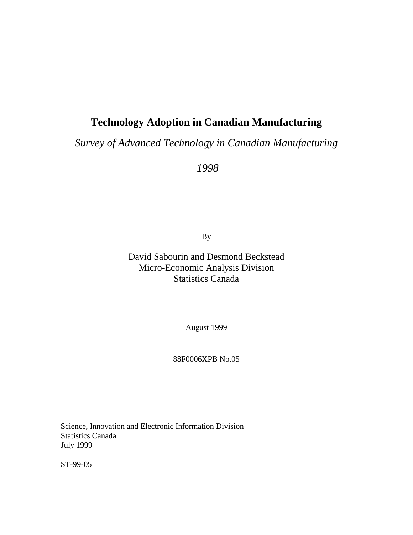## **Technology Adoption in Canadian Manufacturing**

*Survey of Advanced Technology in Canadian Manufacturing*

 *1998*

By

David Sabourin and Desmond Beckstead Micro-Economic Analysis Division Statistics Canada

August 1999

#### 88F0006XPB No.05

Science, Innovation and Electronic Information Division Statistics Canada July 1999

ST-99-05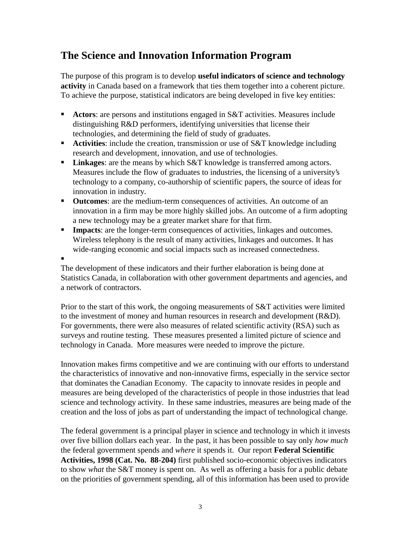## **The Science and Innovation Information Program**

The purpose of this program is to develop **useful indicators of science and technology activity** in Canada based on a framework that ties them together into a coherent picture. To achieve the purpose, statistical indicators are being developed in five key entities:

- **Actors:** are persons and institutions engaged in S&T activities. Measures include distinguishing R&D performers, identifying universities that license their technologies, and determining the field of study of graduates.
- **Activities:** include the creation, transmission or use of S&T knowledge including research and development, innovation, and use of technologies.
- **Linkages:** are the means by which S&T knowledge is transferred among actors. Measures include the flow of graduates to industries, the licensing of a university's technology to a company, co-authorship of scientific papers, the source of ideas for innovation in industry.
- **Outcomes**: are the medium-term consequences of activities. An outcome of an innovation in a firm may be more highly skilled jobs. An outcome of a firm adopting a new technology may be a greater market share for that firm.
- **Impacts**: are the longer-term consequences of activities, linkages and outcomes. Wireless telephony is the result of many activities, linkages and outcomes. It has wide-ranging economic and social impacts such as increased connectedness.

ı

The development of these indicators and their further elaboration is being done at Statistics Canada, in collaboration with other government departments and agencies, and a network of contractors.

Prior to the start of this work, the ongoing measurements of S&T activities were limited to the investment of money and human resources in research and development (R&D). For governments, there were also measures of related scientific activity (RSA) such as surveys and routine testing. These measures presented a limited picture of science and technology in Canada. More measures were needed to improve the picture.

Innovation makes firms competitive and we are continuing with our efforts to understand the characteristics of innovative and non-innovative firms, especially in the service sector that dominates the Canadian Economy. The capacity to innovate resides in people and measures are being developed of the characteristics of people in those industries that lead science and technology activity. In these same industries, measures are being made of the creation and the loss of jobs as part of understanding the impact of technological change.

The federal government is a principal player in science and technology in which it invests over five billion dollars each year. In the past, it has been possible to say only *how much* the federal government spends and *where* it spends it. Our report **Federal Scientific Activities, 1998 (Cat. No. 88-204)** first published socio-economic objectives indicators to show *what* the S&T money is spent on. As well as offering a basis for a public debate on the priorities of government spending, all of this information has been used to provide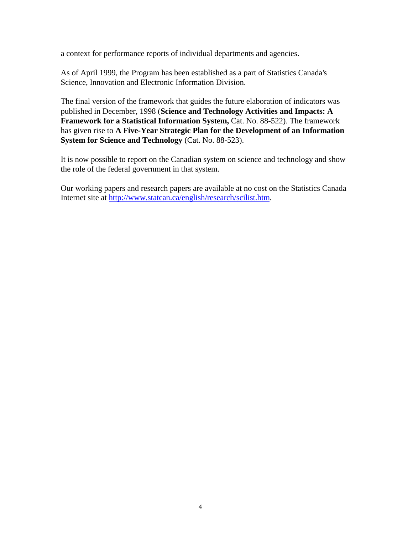a context for performance reports of individual departments and agencies.

As of April 1999, the Program has been established as a part of Statistics Canada's Science, Innovation and Electronic Information Division.

The final version of the framework that guides the future elaboration of indicators was published in December, 1998 (**Science and Technology Activities and Impacts: A Framework for a Statistical Information System,** Cat. No. 88-522). The framework has given rise to **A Five-Year Strategic Plan for the Development of an Information System for Science and Technology** (Cat. No. 88-523).

It is now possible to report on the Canadian system on science and technology and show the role of the federal government in that system.

Our working papers and research papers are available at no cost on the Statistics Canada Internet site at http://www.statcan.ca/english/research/scilist.htm.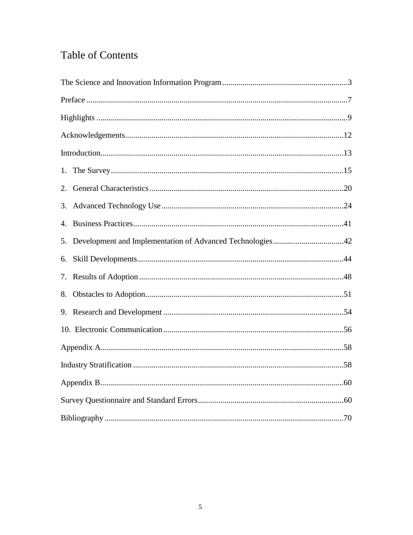# Table of Contents

| 2. |  |
|----|--|
|    |  |
| 4. |  |
| 5. |  |
| 6. |  |
|    |  |
| 8. |  |
|    |  |
|    |  |
|    |  |
|    |  |
|    |  |
|    |  |
|    |  |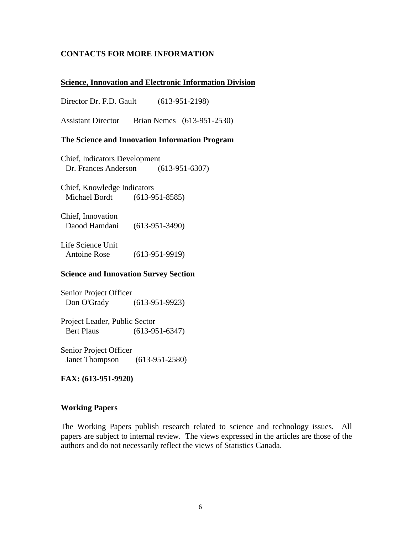#### **CONTACTS FOR MORE INFORMATION**

#### **Science, Innovation and Electronic Information Division**

Director Dr. F.D. Gault (613-951-2198)

Assistant Director Brian Nemes (613-951-2530)

#### **The Science and Innovation Information Program**

Chief, Indicators Development Dr. Frances Anderson (613-951-6307)

Chief, Knowledge Indicators Michael Bordt (613-951-8585)

Chief, Innovation Daood Hamdani (613-951-3490)

Life Science Unit Antoine Rose (613-951-9919)

#### **Science and Innovation Survey Section**

Senior Project Officer Don O'Grady (613-951-9923)

Project Leader, Public Sector Bert Plaus (613-951-6347)

Senior Project Officer Janet Thompson (613-951-2580)

**FAX: (613-951-9920)**

#### **Working Papers**

The Working Papers publish research related to science and technology issues. All papers are subject to internal review. The views expressed in the articles are those of the authors and do not necessarily reflect the views of Statistics Canada.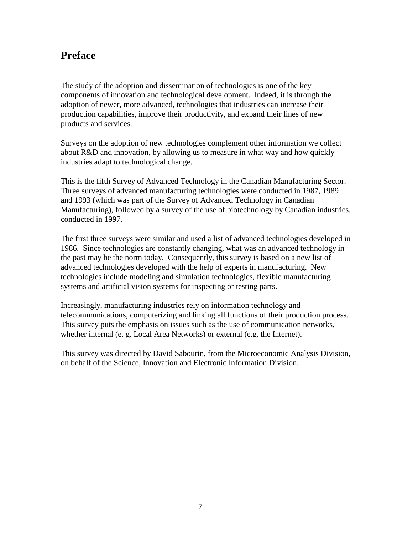## **Preface**

The study of the adoption and dissemination of technologies is one of the key components of innovation and technological development. Indeed, it is through the adoption of newer, more advanced, technologies that industries can increase their production capabilities, improve their productivity, and expand their lines of new products and services.

Surveys on the adoption of new technologies complement other information we collect about R&D and innovation, by allowing us to measure in what way and how quickly industries adapt to technological change.

This is the fifth Survey of Advanced Technology in the Canadian Manufacturing Sector. Three surveys of advanced manufacturing technologies were conducted in 1987, 1989 and 1993 (which was part of the Survey of Advanced Technology in Canadian Manufacturing), followed by a survey of the use of biotechnology by Canadian industries, conducted in 1997.

The first three surveys were similar and used a list of advanced technologies developed in 1986. Since technologies are constantly changing, what was an advanced technology in the past may be the norm today. Consequently, this survey is based on a new list of advanced technologies developed with the help of experts in manufacturing. New technologies include modeling and simulation technologies, flexible manufacturing systems and artificial vision systems for inspecting or testing parts.

Increasingly, manufacturing industries rely on information technology and telecommunications, computerizing and linking all functions of their production process. This survey puts the emphasis on issues such as the use of communication networks, whether internal (e. g. Local Area Networks) or external (e.g. the Internet).

This survey was directed by David Sabourin, from the Microeconomic Analysis Division, on behalf of the Science, Innovation and Electronic Information Division.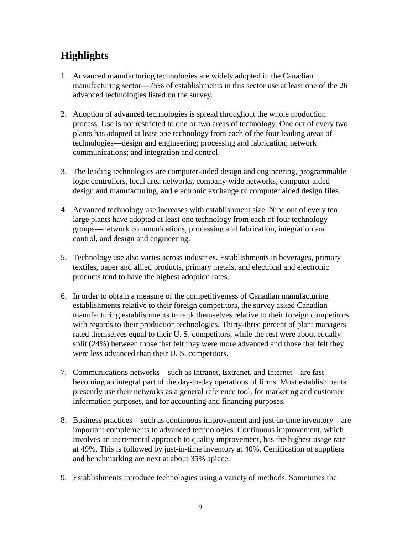# **Highlights**

- 1. Advanced manufacturing technologies are widely adopted in the Canadian manufacturing sector—75% of establishments in this sector use at least one of the 26 advanced technologies listed on the survey.
- 2. Adoption of advanced technologies is spread throughout the whole production process. Use is not restricted to one or two areas of technology. One out of every two plants has adopted at least one technology from each of the four leading areas of technologies—design and engineering; processing and fabrication; network communications; and integration and control.
- 3. The leading technologies are computer-aided design and engineering, programmable logic controllers, local area networks, company-wide networks, computer aided design and manufacturing, and electronic exchange of computer aided design files.
- 4. Advanced technology use increases with establishment size. Nine out of every ten large plants have adopted at least one technology from each of four technology groups—network communications, processing and fabrication, integration and control, and design and engineering.
- 5. Technology use also varies across industries. Establishments in beverages, primary textiles, paper and allied products, primary metals, and electrical and electronic products tend to have the highest adoption rates.
- 6. In order to obtain a measure of the competitiveness of Canadian manufacturing establishments relative to their foreign competitors, the survey asked Canadian manufacturing establishments to rank themselves relative to their foreign competitors with regards to their production technologies. Thirty-three percent of plant managers rated themselves equal to their U. S. competitors, while the rest were about equally split (24%) between those that felt they were more advanced and those that felt they were less advanced than their U. S. competitors.
- 7. Communications networks—such as Intranet, Extranet, and Internet—are fast becoming an integral part of the day-to-day operations of firms. Most establishments presently use their networks as a general reference tool, for marketing and customer information purposes, and for accounting and financing purposes.
- 8. Business practices—such as continuous improvement and just-in-time inventory—are important complements to advanced technologies. Continuous improvement, which involves an incremental approach to quality improvement, has the highest usage rate at 49%. This is followed by just-in-time inventory at 40%. Certification of suppliers and benchmarking are next at about 35% apiece.
- 9. Establishments introduce technologies using a variety of methods. Sometimes the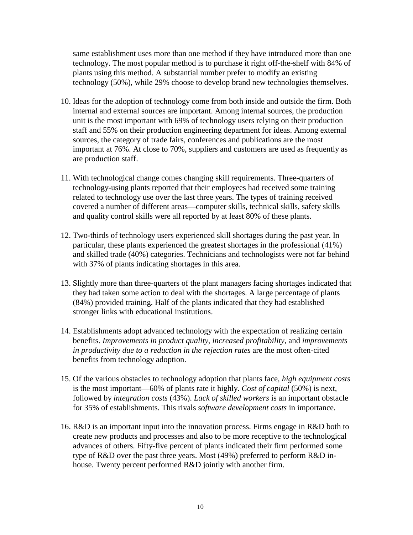same establishment uses more than one method if they have introduced more than one technology. The most popular method is to purchase it right off-the-shelf with 84% of plants using this method. A substantial number prefer to modify an existing technology (50%), while 29% choose to develop brand new technologies themselves.

- 10. Ideas for the adoption of technology come from both inside and outside the firm. Both internal and external sources are important. Among internal sources, the production unit is the most important with 69% of technology users relying on their production staff and 55% on their production engineering department for ideas. Among external sources, the category of trade fairs, conferences and publications are the most important at 76%. At close to 70%, suppliers and customers are used as frequently as are production staff.
- 11. With technological change comes changing skill requirements. Three-quarters of technology-using plants reported that their employees had received some training related to technology use over the last three years. The types of training received covered a number of different areas—computer skills, technical skills, safety skills and quality control skills were all reported by at least 80% of these plants.
- 12. Two-thirds of technology users experienced skill shortages during the past year. In particular, these plants experienced the greatest shortages in the professional (41%) and skilled trade (40%) categories. Technicians and technologists were not far behind with 37% of plants indicating shortages in this area.
- 13. Slightly more than three-quarters of the plant managers facing shortages indicated that they had taken some action to deal with the shortages. A large percentage of plants (84%) provided training. Half of the plants indicated that they had established stronger links with educational institutions.
- 14. Establishments adopt advanced technology with the expectation of realizing certain benefits. *Improvements in product quality*, *increased profitability*, and *improvements in productivity due to a reduction in the rejection rates* are the most often-cited benefits from technology adoption.
- 15. Of the various obstacles to technology adoption that plants face, *high equipment costs* is the most important—60% of plants rate it highly. *Cost of capital* (50%) is next, followed by *integration costs* (43%). *Lack of skilled workers* is an important obstacle for 35% of establishments. This rivals *software development costs* in importance.
- 16. R&D is an important input into the innovation process. Firms engage in R&D both to create new products and processes and also to be more receptive to the technological advances of others. Fifty-five percent of plants indicated their firm performed some type of R&D over the past three years. Most (49%) preferred to perform R&D inhouse. Twenty percent performed R&D jointly with another firm.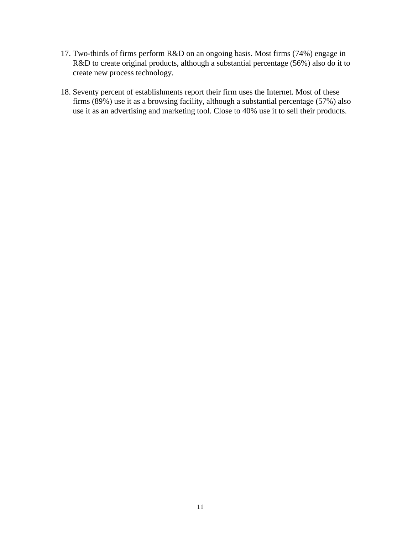- 17. Two-thirds of firms perform R&D on an ongoing basis. Most firms (74%) engage in R&D to create original products, although a substantial percentage (56%) also do it to create new process technology.
- 18. Seventy percent of establishments report their firm uses the Internet. Most of these firms (89%) use it as a browsing facility, although a substantial percentage (57%) also use it as an advertising and marketing tool. Close to 40% use it to sell their products.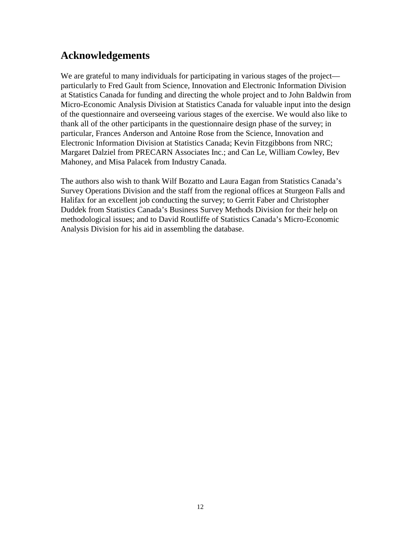## **Acknowledgements**

We are grateful to many individuals for participating in various stages of the project particularly to Fred Gault from Science, Innovation and Electronic Information Division at Statistics Canada for funding and directing the whole project and to John Baldwin from Micro-Economic Analysis Division at Statistics Canada for valuable input into the design of the questionnaire and overseeing various stages of the exercise. We would also like to thank all of the other participants in the questionnaire design phase of the survey; in particular, Frances Anderson and Antoine Rose from the Science, Innovation and Electronic Information Division at Statistics Canada; Kevin Fitzgibbons from NRC; Margaret Dalziel from PRECARN Associates Inc.; and Can Le, William Cowley, Bev Mahoney, and Misa Palacek from Industry Canada.

The authors also wish to thank Wilf Bozatto and Laura Eagan from Statistics Canada's Survey Operations Division and the staff from the regional offices at Sturgeon Falls and Halifax for an excellent job conducting the survey; to Gerrit Faber and Christopher Duddek from Statistics Canada's Business Survey Methods Division for their help on methodological issues; and to David Routliffe of Statistics Canada's Micro-Economic Analysis Division for his aid in assembling the database.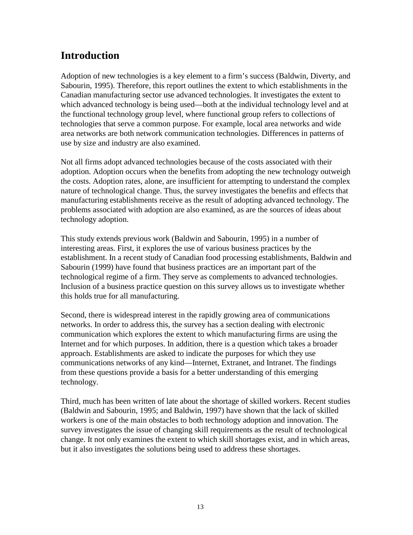## **Introduction**

Adoption of new technologies is a key element to a firm's success (Baldwin, Diverty, and Sabourin, 1995). Therefore, this report outlines the extent to which establishments in the Canadian manufacturing sector use advanced technologies. It investigates the extent to which advanced technology is being used—both at the individual technology level and at the functional technology group level, where functional group refers to collections of technologies that serve a common purpose. For example, local area networks and wide area networks are both network communication technologies. Differences in patterns of use by size and industry are also examined.

Not all firms adopt advanced technologies because of the costs associated with their adoption. Adoption occurs when the benefits from adopting the new technology outweigh the costs. Adoption rates, alone, are insufficient for attempting to understand the complex nature of technological change. Thus, the survey investigates the benefits and effects that manufacturing establishments receive as the result of adopting advanced technology. The problems associated with adoption are also examined, as are the sources of ideas about technology adoption.

This study extends previous work (Baldwin and Sabourin, 1995) in a number of interesting areas. First, it explores the use of various business practices by the establishment. In a recent study of Canadian food processing establishments, Baldwin and Sabourin (1999) have found that business practices are an important part of the technological regime of a firm. They serve as complements to advanced technologies. Inclusion of a business practice question on this survey allows us to investigate whether this holds true for all manufacturing.

Second, there is widespread interest in the rapidly growing area of communications networks. In order to address this, the survey has a section dealing with electronic communication which explores the extent to which manufacturing firms are using the Internet and for which purposes. In addition, there is a question which takes a broader approach. Establishments are asked to indicate the purposes for which they use communications networks of any kind—Internet, Extranet, and Intranet. The findings from these questions provide a basis for a better understanding of this emerging technology.

Third, much has been written of late about the shortage of skilled workers. Recent studies (Baldwin and Sabourin, 1995; and Baldwin, 1997) have shown that the lack of skilled workers is one of the main obstacles to both technology adoption and innovation. The survey investigates the issue of changing skill requirements as the result of technological change. It not only examines the extent to which skill shortages exist, and in which areas, but it also investigates the solutions being used to address these shortages.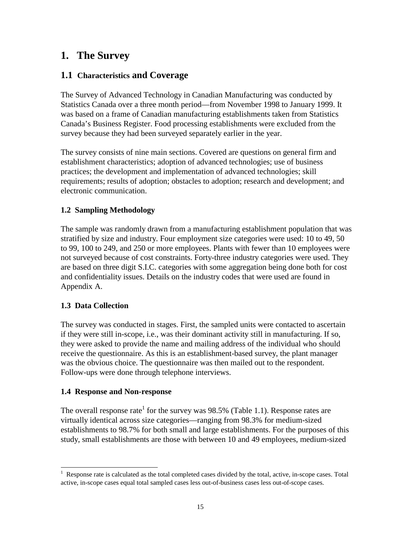## **1. The Survey**

## **1.1 Characteristics and Coverage**

The Survey of Advanced Technology in Canadian Manufacturing was conducted by Statistics Canada over a three month period—from November 1998 to January 1999. It was based on a frame of Canadian manufacturing establishments taken from Statistics Canada's Business Register. Food processing establishments were excluded from the survey because they had been surveyed separately earlier in the year.

The survey consists of nine main sections. Covered are questions on general firm and establishment characteristics; adoption of advanced technologies; use of business practices; the development and implementation of advanced technologies; skill requirements; results of adoption; obstacles to adoption; research and development; and electronic communication.

### **1.2 Sampling Methodology**

The sample was randomly drawn from a manufacturing establishment population that was stratified by size and industry. Four employment size categories were used: 10 to 49, 50 to 99, 100 to 249, and 250 or more employees. Plants with fewer than 10 employees were not surveyed because of cost constraints. Forty-three industry categories were used. They are based on three digit S.I.C. categories with some aggregation being done both for cost and confidentiality issues. Details on the industry codes that were used are found in Appendix A.

### **1.3 Data Collection**

The survey was conducted in stages. First, the sampled units were contacted to ascertain if they were still in-scope, i.e., was their dominant activity still in manufacturing. If so, they were asked to provide the name and mailing address of the individual who should receive the questionnaire. As this is an establishment-based survey, the plant manager was the obvious choice. The questionnaire was then mailed out to the respondent. Follow-ups were done through telephone interviews.

### **1.4 Response and Non-response**

The overall response rate<sup>1</sup> for the survey was 98.5% (Table 1.1). Response rates are virtually identical across size categories—ranging from 98.3% for medium-sized establishments to 98.7% for both small and large establishments. For the purposes of this study, small establishments are those with between 10 and 49 employees, medium-sized

<sup>|&</sup>lt;br>|<br>| Response rate is calculated as the total completed cases divided by the total, active, in-scope cases. Total active, in-scope cases equal total sampled cases less out-of-business cases less out-of-scope cases.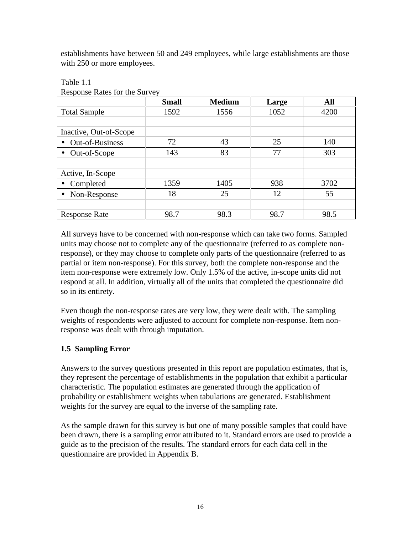establishments have between 50 and 249 employees, while large establishments are those with 250 or more employees.

|                                     | <b>Small</b> | <b>Medium</b> | Large | All  |
|-------------------------------------|--------------|---------------|-------|------|
| <b>Total Sample</b>                 | 1592         | 1556          | 1052  | 4200 |
|                                     |              |               |       |      |
| Inactive, Out-of-Scope              |              |               |       |      |
| <b>Out-of-Business</b><br>$\bullet$ | 72           | 43            | 25    | 140  |
| Out-of-Scope<br>$\bullet$           | 143          | 83            | 77    | 303  |
|                                     |              |               |       |      |
| Active, In-Scope                    |              |               |       |      |
| Completed                           | 1359         | 1405          | 938   | 3702 |
| Non-Response<br>$\bullet$           | 18           | 25            | 12    | 55   |
|                                     |              |               |       |      |
| <b>Response Rate</b>                | 98.7         | 98.3          | 98.7  | 98.5 |

#### Table 1.1

Response Rates for the Survey

All surveys have to be concerned with non-response which can take two forms. Sampled units may choose not to complete any of the questionnaire (referred to as complete nonresponse), or they may choose to complete only parts of the questionnaire (referred to as partial or item non-response). For this survey, both the complete non-response and the item non-response were extremely low. Only 1.5% of the active, in-scope units did not respond at all. In addition, virtually all of the units that completed the questionnaire did so in its entirety.

Even though the non-response rates are very low, they were dealt with. The sampling weights of respondents were adjusted to account for complete non-response. Item nonresponse was dealt with through imputation.

## **1.5 Sampling Error**

Answers to the survey questions presented in this report are population estimates, that is, they represent the percentage of establishments in the population that exhibit a particular characteristic. The population estimates are generated through the application of probability or establishment weights when tabulations are generated. Establishment weights for the survey are equal to the inverse of the sampling rate.

As the sample drawn for this survey is but one of many possible samples that could have been drawn, there is a sampling error attributed to it. Standard errors are used to provide a guide as to the precision of the results. The standard errors for each data cell in the questionnaire are provided in Appendix B.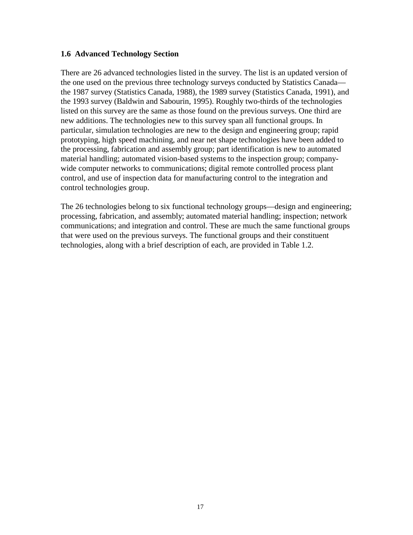#### **1.6 Advanced Technology Section**

There are 26 advanced technologies listed in the survey. The list is an updated version of the one used on the previous three technology surveys conducted by Statistics Canada the 1987 survey (Statistics Canada, 1988), the 1989 survey (Statistics Canada, 1991), and the 1993 survey (Baldwin and Sabourin, 1995). Roughly two-thirds of the technologies listed on this survey are the same as those found on the previous surveys. One third are new additions. The technologies new to this survey span all functional groups. In particular, simulation technologies are new to the design and engineering group; rapid prototyping, high speed machining, and near net shape technologies have been added to the processing, fabrication and assembly group; part identification is new to automated material handling; automated vision-based systems to the inspection group; companywide computer networks to communications; digital remote controlled process plant control, and use of inspection data for manufacturing control to the integration and control technologies group.

The 26 technologies belong to six functional technology groups—design and engineering; processing, fabrication, and assembly; automated material handling; inspection; network communications; and integration and control. These are much the same functional groups that were used on the previous surveys. The functional groups and their constituent technologies, along with a brief description of each, are provided in Table 1.2.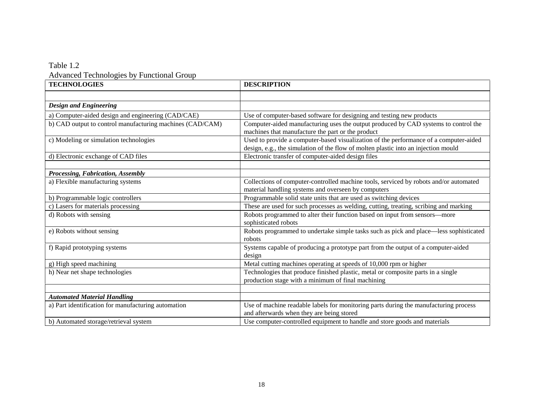### Table 1.2 Advanced Technologies by Functional Group

| <b>TECHNOLOGIES</b>                                       | <b>DESCRIPTION</b>                                                                                                                                                          |
|-----------------------------------------------------------|-----------------------------------------------------------------------------------------------------------------------------------------------------------------------------|
|                                                           |                                                                                                                                                                             |
| <b>Design and Engineering</b>                             |                                                                                                                                                                             |
| a) Computer-aided design and engineering (CAD/CAE)        | Use of computer-based software for designing and testing new products                                                                                                       |
| b) CAD output to control manufacturing machines (CAD/CAM) | Computer-aided manufacturing uses the output produced by CAD systems to control the<br>machines that manufacture the part or the product                                    |
| c) Modeling or simulation technologies                    | Used to provide a computer-based visualization of the performance of a computer-aided<br>design, e.g., the simulation of the flow of molten plastic into an injection mould |
| d) Electronic exchange of CAD files                       | Electronic transfer of computer-aided design files                                                                                                                          |
|                                                           |                                                                                                                                                                             |
| Processing, Fabrication, Assembly                         |                                                                                                                                                                             |
| a) Flexible manufacturing systems                         | Collections of computer-controlled machine tools, serviced by robots and/or automated<br>material handling systems and overseen by computers                                |
| b) Programmable logic controllers                         | Programmable solid state units that are used as switching devices                                                                                                           |
| c) Lasers for materials processing                        | These are used for such processes as welding, cutting, treating, scribing and marking                                                                                       |
| d) Robots with sensing                                    | Robots programmed to alter their function based on input from sensors-more<br>sophisticated robots                                                                          |
| e) Robots without sensing                                 | Robots programmed to undertake simple tasks such as pick and place—less sophisticated<br>robots                                                                             |
| f) Rapid prototyping systems                              | Systems capable of producing a prototype part from the output of a computer-aided<br>design                                                                                 |
| g) High speed machining                                   | Metal cutting machines operating at speeds of 10,000 rpm or higher                                                                                                          |
| h) Near net shape technologies                            | Technologies that produce finished plastic, metal or composite parts in a single<br>production stage with a minimum of final machining                                      |
|                                                           |                                                                                                                                                                             |
| <b>Automated Material Handling</b>                        |                                                                                                                                                                             |
| a) Part identification for manufacturing automation       | Use of machine readable labels for monitoring parts during the manufacturing process<br>and afterwards when they are being stored                                           |
| b) Automated storage/retrieval system                     | Use computer-controlled equipment to handle and store goods and materials                                                                                                   |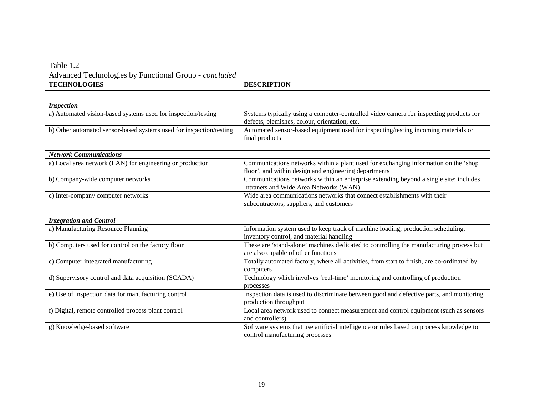### Table 1.2 Advanced Technologies by Functional Group *- concluded*

| <b>TECHNOLOGIES</b>                                                 | <b>DESCRIPTION</b>                                                                                                                      |
|---------------------------------------------------------------------|-----------------------------------------------------------------------------------------------------------------------------------------|
|                                                                     |                                                                                                                                         |
| <b>Inspection</b>                                                   |                                                                                                                                         |
| a) Automated vision-based systems used for inspection/testing       | Systems typically using a computer-controlled video camera for inspecting products for<br>defects, blemishes, colour, orientation, etc. |
| b) Other automated sensor-based systems used for inspection/testing | Automated sensor-based equipment used for inspecting/testing incoming materials or<br>final products                                    |
|                                                                     |                                                                                                                                         |
| <b>Network Communications</b>                                       |                                                                                                                                         |
| a) Local area network (LAN) for engineering or production           | Communications networks within a plant used for exchanging information on the 'shop                                                     |
|                                                                     | floor', and within design and engineering departments                                                                                   |
| b) Company-wide computer networks                                   | Communications networks within an enterprise extending beyond a single site; includes<br>Intranets and Wide Area Networks (WAN)         |
|                                                                     |                                                                                                                                         |
| c) Inter-company computer networks                                  | Wide area communications networks that connect establishments with their                                                                |
|                                                                     | subcontractors, suppliers, and customers                                                                                                |
|                                                                     |                                                                                                                                         |
| <b>Integration and Control</b>                                      |                                                                                                                                         |
| a) Manufacturing Resource Planning                                  | Information system used to keep track of machine loading, production scheduling,<br>inventory control, and material handling            |
| b) Computers used for control on the factory floor                  | These are 'stand-alone' machines dedicated to controlling the manufacturing process but                                                 |
|                                                                     | are also capable of other functions                                                                                                     |
| c) Computer integrated manufacturing                                | Totally automated factory, where all activities, from start to finish, are co-ordinated by                                              |
|                                                                     | computers                                                                                                                               |
| d) Supervisory control and data acquisition (SCADA)                 | Technology which involves 'real-time' monitoring and controlling of production                                                          |
|                                                                     | processes                                                                                                                               |
| e) Use of inspection data for manufacturing control                 | Inspection data is used to discriminate between good and defective parts, and monitoring                                                |
|                                                                     | production throughput                                                                                                                   |
| f) Digital, remote controlled process plant control                 | Local area network used to connect measurement and control equipment (such as sensors                                                   |
|                                                                     | and controllers)                                                                                                                        |
| g) Knowledge-based software                                         | Software systems that use artificial intelligence or rules based on process knowledge to                                                |
|                                                                     | control manufacturing processes                                                                                                         |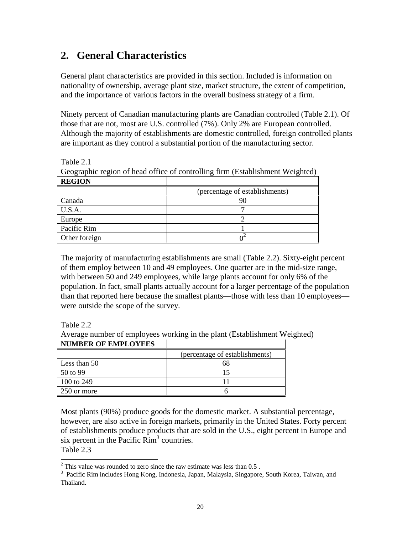## **2. General Characteristics**

General plant characteristics are provided in this section. Included is information on nationality of ownership, average plant size, market structure, the extent of competition, and the importance of various factors in the overall business strategy of a firm.

Ninety percent of Canadian manufacturing plants are Canadian controlled (Table 2.1). Of those that are not, most are U.S. controlled (7%). Only 2% are European controlled. Although the majority of establishments are domestic controlled, foreign controlled plants are important as they control a substantial portion of the manufacturing sector.

Table 2.1

|  |  |  | Geographic region of head office of controlling firm (Establishment Weighted) |  |
|--|--|--|-------------------------------------------------------------------------------|--|
|  |  |  |                                                                               |  |
|  |  |  |                                                                               |  |
|  |  |  |                                                                               |  |

| <b>REGION</b> |                                |
|---------------|--------------------------------|
|               | (percentage of establishments) |
| Canada        |                                |
| U.S.A.        |                                |
| Europe        |                                |
| Pacific Rim   |                                |
| Other foreign |                                |

The majority of manufacturing establishments are small (Table 2.2). Sixty-eight percent of them employ between 10 and 49 employees. One quarter are in the mid-size range, with between 50 and 249 employees, while large plants account for only 6% of the population. In fact, small plants actually account for a larger percentage of the population than that reported here because the smallest plants—those with less than 10 employees were outside the scope of the survey.

Table 2.2

Average number of employees working in the plant (Establishment Weighted)

| <b>NUMBER OF EMPLOYEES</b> |                                |
|----------------------------|--------------------------------|
|                            | (percentage of establishments) |
| Less than 50               |                                |
| 50 to 99                   |                                |
| 100 to 249                 |                                |
| 250 or more                |                                |

Most plants (90%) produce goods for the domestic market. A substantial percentage, however, are also active in foreign markets, primarily in the United States. Forty percent of establishments produce products that are sold in the U.S., eight percent in Europe and six percent in the Pacific Rim<sup>3</sup> countries. Table 2.3

<sup>2</sup> This value was rounded to zero since the raw estimate was less than 0.5.

<sup>&</sup>lt;sup>3</sup> Pacific Rim includes Hong Kong, Indonesia, Japan, Malaysia, Singapore, South Korea, Taiwan, and Thailand.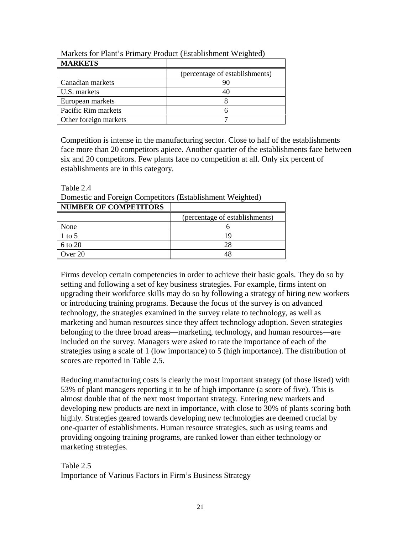| <b>MARKETS</b>        |                                |
|-----------------------|--------------------------------|
|                       | (percentage of establishments) |
| Canadian markets      |                                |
| U.S. markets          |                                |
| European markets      |                                |
| Pacific Rim markets   |                                |
| Other foreign markets |                                |

Markets for Plant's Primary Product (Establishment Weighted)

Competition is intense in the manufacturing sector. Close to half of the establishments face more than 20 competitors apiece. Another quarter of the establishments face between six and 20 competitors. Few plants face no competition at all. Only six percent of establishments are in this category.

Table 2.4

| <b>NUMBER OF COMPETITORS</b> |                                |
|------------------------------|--------------------------------|
|                              | (percentage of establishments) |
| None                         |                                |
| 1 to 5                       |                                |
| 6 to 20                      | 28                             |
| Over 20                      |                                |

Domestic and Foreign Competitors (Establishment Weighted)

Firms develop certain competencies in order to achieve their basic goals. They do so by setting and following a set of key business strategies. For example, firms intent on upgrading their workforce skills may do so by following a strategy of hiring new workers or introducing training programs. Because the focus of the survey is on advanced technology, the strategies examined in the survey relate to technology, as well as marketing and human resources since they affect technology adoption. Seven strategies belonging to the three broad areas—marketing, technology, and human resources—are included on the survey. Managers were asked to rate the importance of each of the strategies using a scale of 1 (low importance) to 5 (high importance). The distribution of scores are reported in Table 2.5.

Reducing manufacturing costs is clearly the most important strategy (of those listed) with 53% of plant managers reporting it to be of high importance (a score of five). This is almost double that of the next most important strategy. Entering new markets and developing new products are next in importance, with close to 30% of plants scoring both highly. Strategies geared towards developing new technologies are deemed crucial by one-quarter of establishments. Human resource strategies, such as using teams and providing ongoing training programs, are ranked lower than either technology or marketing strategies.

Table 2.5 Importance of Various Factors in Firm's Business Strategy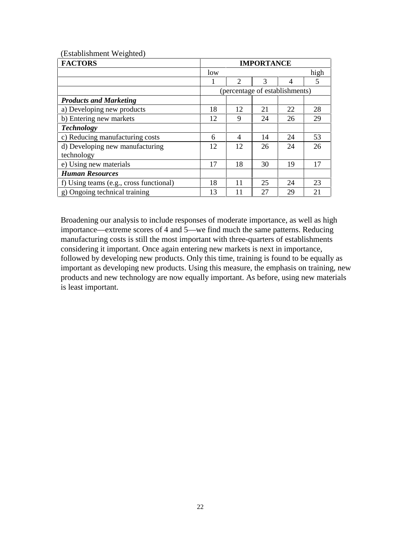| (Establishment Weighted) |  |
|--------------------------|--|
|--------------------------|--|

| <b>FACTORS</b>                          |     | <b>IMPORTANCE</b>           |    |                                |      |
|-----------------------------------------|-----|-----------------------------|----|--------------------------------|------|
|                                         | low |                             |    |                                | high |
|                                         |     | $\mathcal{D}_{\mathcal{L}}$ | 3  | 4                              | 5    |
|                                         |     |                             |    | (percentage of establishments) |      |
| <b>Products and Marketing</b>           |     |                             |    |                                |      |
| a) Developing new products              | 18  | 12                          | 21 | 22                             | 28   |
| b) Entering new markets                 | 12  | 9                           | 24 | 26                             | 29   |
| <b>Technology</b>                       |     |                             |    |                                |      |
| c) Reducing manufacturing costs         | 6   | 4                           | 14 | 24                             | 53   |
| d) Developing new manufacturing         | 12  | 12                          | 26 | 24                             | 26   |
| technology                              |     |                             |    |                                |      |
| e) Using new materials                  | 17  | 18                          | 30 | 19                             | 17   |
| <b>Human Resources</b>                  |     |                             |    |                                |      |
| f) Using teams (e.g., cross functional) | 18  | 11                          | 25 | 24                             | 23   |
| g) Ongoing technical training           | 13  | 11                          | 27 | 29                             | 21   |

Broadening our analysis to include responses of moderate importance, as well as high importance—extreme scores of 4 and 5—we find much the same patterns. Reducing manufacturing costs is still the most important with three-quarters of establishments considering it important. Once again entering new markets is next in importance, followed by developing new products. Only this time, training is found to be equally as important as developing new products. Using this measure, the emphasis on training, new products and new technology are now equally important. As before, using new materials is least important.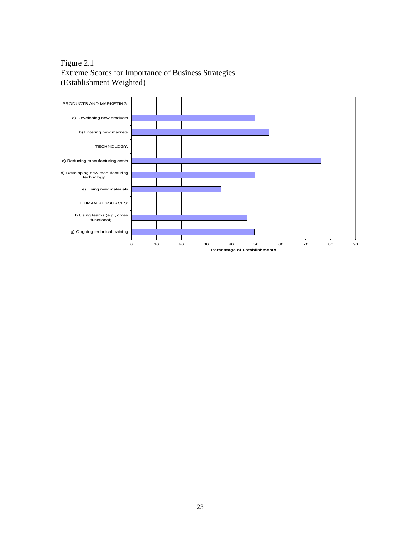## Figure 2.1 Extreme Scores for Importance of Business Strategies (Establishment Weighted)

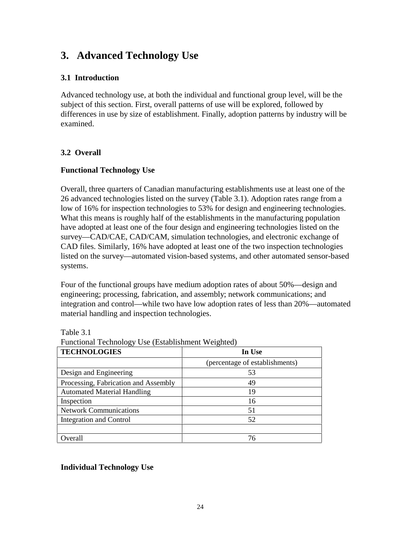## **3. Advanced Technology Use**

### **3.1 Introduction**

Advanced technology use, at both the individual and functional group level, will be the subject of this section. First, overall patterns of use will be explored, followed by differences in use by size of establishment. Finally, adoption patterns by industry will be examined.

### **3.2 Overall**

#### **Functional Technology Use**

Overall, three quarters of Canadian manufacturing establishments use at least one of the 26 advanced technologies listed on the survey (Table 3.1). Adoption rates range from a low of 16% for inspection technologies to 53% for design and engineering technologies. What this means is roughly half of the establishments in the manufacturing population have adopted at least one of the four design and engineering technologies listed on the survey—CAD/CAE, CAD/CAM, simulation technologies, and electronic exchange of CAD files. Similarly, 16% have adopted at least one of the two inspection technologies listed on the survey—automated vision-based systems, and other automated sensor-based systems.

Four of the functional groups have medium adoption rates of about 50%—design and engineering; processing, fabrication, and assembly; network communications; and integration and control—while two have low adoption rates of less than 20%—automated material handling and inspection technologies.

| <b>TECHNOLOGIES</b>                  | In Use                         |  |  |  |  |
|--------------------------------------|--------------------------------|--|--|--|--|
|                                      | (percentage of establishments) |  |  |  |  |
| Design and Engineering               | 53                             |  |  |  |  |
| Processing, Fabrication and Assembly | 49                             |  |  |  |  |
| <b>Automated Material Handling</b>   | 19                             |  |  |  |  |
| Inspection                           | 16                             |  |  |  |  |
| <b>Network Communications</b>        | 51                             |  |  |  |  |
| <b>Integration and Control</b>       | 52                             |  |  |  |  |
|                                      |                                |  |  |  |  |
| Overall                              | 76                             |  |  |  |  |

Table 3.1

| Functional Technology Use (Establishment Weighted) |  |
|----------------------------------------------------|--|
|----------------------------------------------------|--|

#### **Individual Technology Use**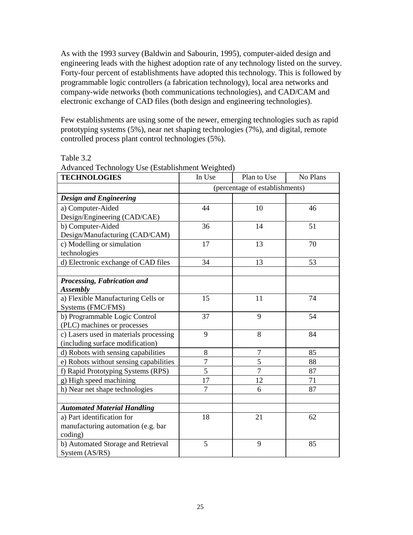As with the 1993 survey (Baldwin and Sabourin, 1995), computer-aided design and engineering leads with the highest adoption rate of any technology listed on the survey. Forty-four percent of establishments have adopted this technology. This is followed by programmable logic controllers (a fabrication technology), local area networks and company-wide networks (both communications technologies), and CAD/CAM and electronic exchange of CAD files (both design and engineering technologies).

Few establishments are using some of the newer, emerging technologies such as rapid prototyping systems (5%), near net shaping technologies (7%), and digital, remote controlled process plant control technologies (5%).

Table 3.2

| ravancea reenhology obe (Ebadonbinnent Weighted)<br><b>TECHNOLOGIES</b> | In Use         | Plan to Use                    | No Plans |
|-------------------------------------------------------------------------|----------------|--------------------------------|----------|
|                                                                         |                | (percentage of establishments) |          |
| <b>Design and Engineering</b>                                           |                |                                |          |
| a) Computer-Aided                                                       | 44             | 10                             | 46       |
| Design/Engineering (CAD/CAE)                                            |                |                                |          |
| b) Computer-Aided                                                       | 36             | 14                             | 51       |
| Design/Manufacturing (CAD/CAM)                                          |                |                                |          |
| c) Modelling or simulation                                              | 17             | 13                             | 70       |
| technologies                                                            |                |                                |          |
| d) Electronic exchange of CAD files                                     | 34             | 13                             | 53       |
|                                                                         |                |                                |          |
| Processing, Fabrication and                                             |                |                                |          |
| <b>Assembly</b>                                                         |                |                                |          |
| a) Flexible Manufacturing Cells or                                      | 15             | 11                             | 74       |
| Systems (FMC/FMS)                                                       |                |                                |          |
| b) Programmable Logic Control                                           | 37             | 9                              | 54       |
| (PLC) machines or processes                                             |                |                                |          |
| c) Lasers used in materials processing                                  | 9              | 8                              | 84       |
| (including surface modification)                                        |                |                                |          |
| d) Robots with sensing capabilities                                     | 8              | 7                              | 85       |
| e) Robots without sensing capabilities                                  | $\overline{7}$ | 5                              | 88       |
| f) Rapid Prototyping Systems (RPS)                                      | $\overline{5}$ | $\overline{7}$                 | 87       |
| g) High speed machining                                                 | 17             | 12                             | 71       |
| h) Near net shape technologies                                          | $\overline{7}$ | 6                              | 87       |
|                                                                         |                |                                |          |
| <b>Automated Material Handling</b>                                      |                |                                |          |
| a) Part identification for                                              | 18             | 21                             | 62       |
| manufacturing automation (e.g. bar                                      |                |                                |          |
| coding)                                                                 |                |                                |          |
| b) Automated Storage and Retrieval                                      | 5              | 9                              | 85       |
| System (AS/RS)                                                          |                |                                |          |

Advanced Technology Use (Establishment Weighted)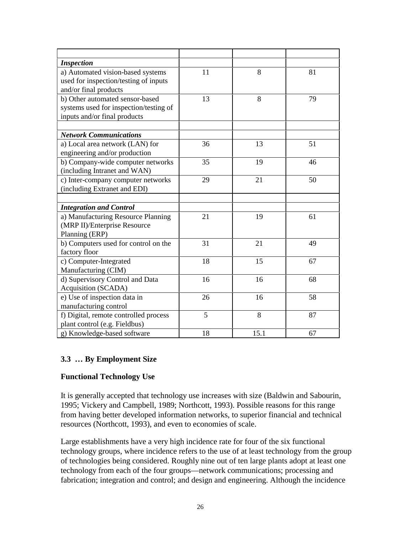| <b>Inspection</b>                      |    |      |    |
|----------------------------------------|----|------|----|
| a) Automated vision-based systems      | 11 | 8    | 81 |
| used for inspection/testing of inputs  |    |      |    |
| and/or final products                  |    |      |    |
| b) Other automated sensor-based        | 13 | 8    | 79 |
| systems used for inspection/testing of |    |      |    |
| inputs and/or final products           |    |      |    |
|                                        |    |      |    |
| <b>Network Communications</b>          |    |      |    |
| a) Local area network (LAN) for        | 36 | 13   | 51 |
| engineering and/or production          |    |      |    |
| b) Company-wide computer networks      | 35 | 19   | 46 |
| (including Intranet and WAN)           |    |      |    |
| c) Inter-company computer networks     | 29 | 21   | 50 |
| (including Extranet and EDI)           |    |      |    |
|                                        |    |      |    |
| <b>Integration and Control</b>         |    |      |    |
| a) Manufacturing Resource Planning     | 21 | 19   | 61 |
| (MRP II)/Enterprise Resource           |    |      |    |
| Planning (ERP)                         |    |      |    |
| b) Computers used for control on the   | 31 | 21   | 49 |
| factory floor                          |    |      |    |
| c) Computer-Integrated                 | 18 | 15   | 67 |
| Manufacturing (CIM)                    |    |      |    |
| d) Supervisory Control and Data        | 16 | 16   | 68 |
| Acquisition (SCADA)                    |    |      |    |
| e) Use of inspection data in           | 26 | 16   | 58 |
| manufacturing control                  |    |      |    |
| f) Digital, remote controlled process  | 5  | 8    | 87 |
| plant control (e.g. Fieldbus)          |    |      |    |
| g) Knowledge-based software            | 18 | 15.1 | 67 |

## **3.3 … By Employment Size**

#### **Functional Technology Use**

It is generally accepted that technology use increases with size (Baldwin and Sabourin, 1995; Vickery and Campbell, 1989; Northcott, 1993). Possible reasons for this range from having better developed information networks, to superior financial and technical resources (Northcott, 1993), and even to economies of scale.

Large establishments have a very high incidence rate for four of the six functional technology groups, where incidence refers to the use of at least technology from the group of technologies being considered. Roughly nine out of ten large plants adopt at least one technology from each of the four groups—network communications; processing and fabrication; integration and control; and design and engineering. Although the incidence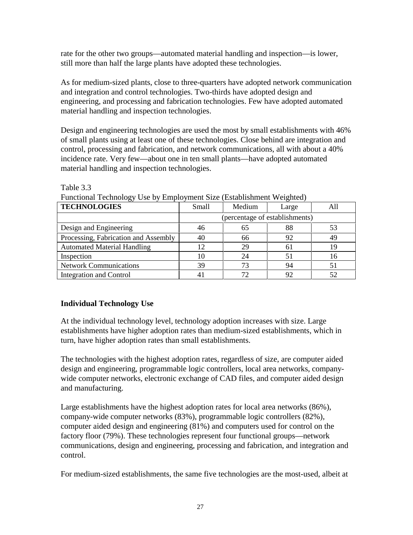rate for the other two groups—automated material handling and inspection—is lower, still more than half the large plants have adopted these technologies.

As for medium-sized plants, close to three-quarters have adopted network communication and integration and control technologies. Two-thirds have adopted design and engineering, and processing and fabrication technologies. Few have adopted automated material handling and inspection technologies.

Design and engineering technologies are used the most by small establishments with 46% of small plants using at least one of these technologies. Close behind are integration and control, processing and fabrication, and network communications, all with about a 40% incidence rate. Very few—about one in ten small plants—have adopted automated material handling and inspection technologies.

| <b>TECHNOLOGIES</b>                  | Small                          | Medium | Large |    |  |  |  |
|--------------------------------------|--------------------------------|--------|-------|----|--|--|--|
|                                      | (percentage of establishments) |        |       |    |  |  |  |
| Design and Engineering               | 46                             | 65     | 88    | 53 |  |  |  |
| Processing, Fabrication and Assembly | 40                             | 66     | 92    | 49 |  |  |  |
| <b>Automated Material Handling</b>   | 12                             | 29     | 6 I   | 19 |  |  |  |
| Inspection                           | 10                             |        | 51    |    |  |  |  |
| <b>Network Communications</b>        | 39                             |        | 94    |    |  |  |  |
| <b>Integration and Control</b>       |                                |        | 92    |    |  |  |  |

Table 3.3

Functional Technology Use by Employment Size (Establishment Weighted)

## **Individual Technology Use**

At the individual technology level, technology adoption increases with size. Large establishments have higher adoption rates than medium-sized establishments, which in turn, have higher adoption rates than small establishments.

The technologies with the highest adoption rates, regardless of size, are computer aided design and engineering, programmable logic controllers, local area networks, companywide computer networks, electronic exchange of CAD files, and computer aided design and manufacturing.

Large establishments have the highest adoption rates for local area networks (86%), company-wide computer networks (83%), programmable logic controllers (82%), computer aided design and engineering (81%) and computers used for control on the factory floor (79%). These technologies represent four functional groups—network communications, design and engineering, processing and fabrication, and integration and control.

For medium-sized establishments, the same five technologies are the most-used, albeit at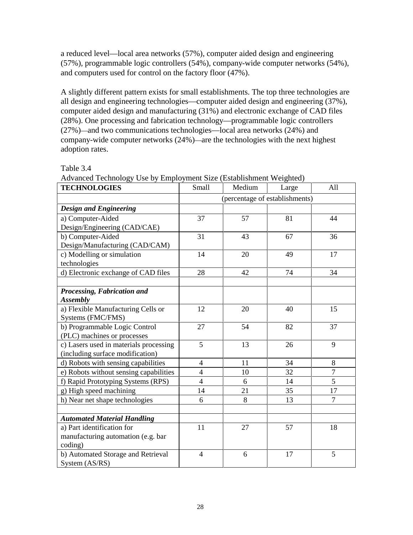a reduced level—local area networks (57%), computer aided design and engineering (57%), programmable logic controllers (54%), company-wide computer networks (54%), and computers used for control on the factory floor (47%).

A slightly different pattern exists for small establishments. The top three technologies are all design and engineering technologies—computer aided design and engineering (37%), computer aided design and manufacturing (31%) and electronic exchange of CAD files (28%). One processing and fabrication technology—programmable logic controllers (27%)—and two communications technologies—local area networks (24%) and company-wide computer networks (24%)—are the technologies with the next highest adoption rates.

| Advanced Technology Osc by Employment Size (Establishment Weighted)<br><b>TECHNOLOGIES</b> | Small          | Medium                         | Large | All            |
|--------------------------------------------------------------------------------------------|----------------|--------------------------------|-------|----------------|
|                                                                                            |                | (percentage of establishments) |       |                |
| <b>Design and Engineering</b>                                                              |                |                                |       |                |
| a) Computer-Aided                                                                          | 37             | 57                             | 81    | 44             |
| Design/Engineering (CAD/CAE)                                                               |                |                                |       |                |
| b) Computer-Aided                                                                          | 31             | 43                             | 67    | 36             |
| Design/Manufacturing (CAD/CAM)                                                             |                |                                |       |                |
| c) Modelling or simulation                                                                 | 14             | 20                             | 49    | 17             |
| technologies                                                                               |                |                                |       |                |
| d) Electronic exchange of CAD files                                                        | 28             | 42                             | 74    | 34             |
|                                                                                            |                |                                |       |                |
| Processing, Fabrication and                                                                |                |                                |       |                |
| <b>Assembly</b>                                                                            |                |                                |       |                |
| a) Flexible Manufacturing Cells or                                                         | 12             | 20                             | 40    | 15             |
| Systems (FMC/FMS)                                                                          |                |                                |       |                |
| b) Programmable Logic Control                                                              | 27             | 54                             | 82    | 37             |
| (PLC) machines or processes                                                                |                |                                |       |                |
| c) Lasers used in materials processing                                                     | 5              | 13                             | 26    | 9              |
| (including surface modification)                                                           |                |                                |       |                |
| d) Robots with sensing capabilities                                                        | $\overline{4}$ | 11                             | 34    | 8              |
| e) Robots without sensing capabilities                                                     | $\overline{4}$ | 10                             | 32    | $\overline{7}$ |
| f) Rapid Prototyping Systems (RPS)                                                         | $\overline{4}$ | 6                              | 14    | 5              |
| g) High speed machining                                                                    | 14             | 21                             | 35    | 17             |
| h) Near net shape technologies                                                             | 6              | 8                              | 13    | $\overline{7}$ |
|                                                                                            |                |                                |       |                |
| <b>Automated Material Handling</b>                                                         |                |                                |       |                |
| a) Part identification for                                                                 | 11             | 27                             | 57    | 18             |
| manufacturing automation (e.g. bar                                                         |                |                                |       |                |
| coding)                                                                                    |                |                                |       |                |
| b) Automated Storage and Retrieval                                                         | $\overline{4}$ | 6                              | 17    | 5              |
| System (AS/RS)                                                                             |                |                                |       |                |

Advanced Technology Use by Employment Size (Establishment Weighted)

Table 3.4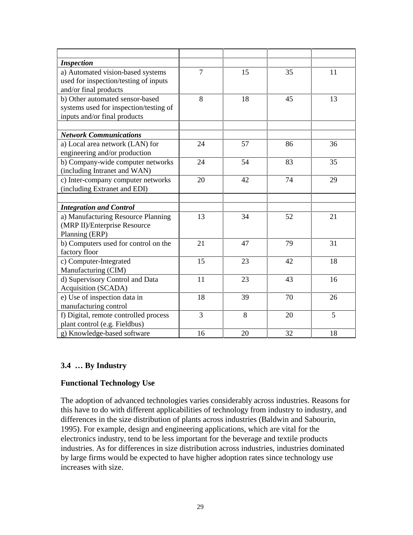| <b>Inspection</b>                      |                |    |    |    |
|----------------------------------------|----------------|----|----|----|
| a) Automated vision-based systems      | $\overline{7}$ | 15 | 35 | 11 |
| used for inspection/testing of inputs  |                |    |    |    |
| and/or final products                  |                |    |    |    |
| b) Other automated sensor-based        | 8              | 18 | 45 | 13 |
| systems used for inspection/testing of |                |    |    |    |
| inputs and/or final products           |                |    |    |    |
|                                        |                |    |    |    |
| <b>Network Communications</b>          |                |    |    |    |
| a) Local area network (LAN) for        | 24             | 57 | 86 | 36 |
| engineering and/or production          |                |    |    |    |
| b) Company-wide computer networks      | 24             | 54 | 83 | 35 |
| (including Intranet and WAN)           |                |    |    |    |
| c) Inter-company computer networks     | 20             | 42 | 74 | 29 |
| (including Extranet and EDI)           |                |    |    |    |
|                                        |                |    |    |    |
| <b>Integration and Control</b>         |                |    |    |    |
| a) Manufacturing Resource Planning     | 13             | 34 | 52 | 21 |
| (MRP II)/Enterprise Resource           |                |    |    |    |
| Planning (ERP)                         |                |    |    |    |
| b) Computers used for control on the   | 21             | 47 | 79 | 31 |
| factory floor                          |                |    |    |    |
| c) Computer-Integrated                 | 15             | 23 | 42 | 18 |
| Manufacturing (CIM)                    |                |    |    |    |
| d) Supervisory Control and Data        | 11             | 23 | 43 | 16 |
| Acquisition (SCADA)                    |                |    |    |    |
| e) Use of inspection data in           | 18             | 39 | 70 | 26 |
| manufacturing control                  |                |    |    |    |
| f) Digital, remote controlled process  | 3              | 8  | 20 | 5  |
| plant control (e.g. Fieldbus)          |                |    |    |    |
| g) Knowledge-based software            | 16             | 20 | 32 | 18 |

### **3.4 … By Industry**

### **Functional Technology Use**

The adoption of advanced technologies varies considerably across industries. Reasons for this have to do with different applicabilities of technology from industry to industry, and differences in the size distribution of plants across industries (Baldwin and Sabourin, 1995). For example, design and engineering applications, which are vital for the electronics industry, tend to be less important for the beverage and textile products industries. As for differences in size distribution across industries, industries dominated by large firms would be expected to have higher adoption rates since technology use increases with size.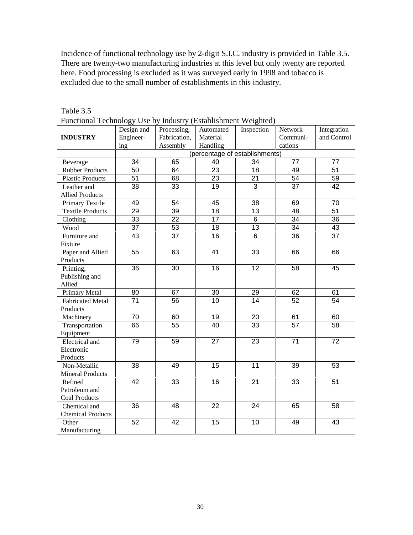Incidence of functional technology use by 2-digit S.I.C. industry is provided in Table 3.5. There are twenty-two manufacturing industries at this level but only twenty are reported here. Food processing is excluded as it was surveyed early in 1998 and tobacco is excluded due to the small number of establishments in this industry.

|                          | Design and      | Processing,     | Automated                      | Inspection      | Network         | Integration     |
|--------------------------|-----------------|-----------------|--------------------------------|-----------------|-----------------|-----------------|
| <b>INDUSTRY</b>          | Engineer-       | Fabrication,    | Material                       |                 | Communi-        | and Control     |
|                          | ing             | Assembly        | Handling                       |                 | cations         |                 |
|                          |                 |                 | (percentage of establishments) |                 |                 |                 |
| Beverage                 | 34              | 65              | 40                             | 34              | 77              | 77              |
| <b>Rubber Products</b>   | 50              | 64              | 23                             | 18              | 49              | 51              |
| <b>Plastic Products</b>  | 51              | 68              | 23                             | $\overline{21}$ | 54              | 59              |
| Leather and              | 38              | 33              | 19                             | 3               | 37              | 42              |
| <b>Allied Products</b>   |                 |                 |                                |                 |                 |                 |
| Primary Textile          | 49              | 54              | 45                             | 38              | 69              | 70              |
| <b>Textile Products</b>  | 29              | 39              | 18                             | 13              | 48              | 51              |
| Clothing                 | 33              | $\overline{22}$ | 17                             | 6               | 34              | $\overline{36}$ |
| Wood                     | $\overline{37}$ | 53              | 18                             | $\overline{13}$ | $\overline{34}$ | 43              |
| Furniture and            | 43              | 37              | 16                             | 6               | 36              | 37              |
| Fixture                  |                 |                 |                                |                 |                 |                 |
| Paper and Allied         | 55              | 63              | 41                             | 33              | 66              | 66              |
| Products                 |                 |                 |                                |                 |                 |                 |
| Printing,                | 36              | 30              | 16                             | 12              | 58              | 45              |
| Publishing and           |                 |                 |                                |                 |                 |                 |
| Allied                   |                 |                 |                                |                 |                 |                 |
| Primary Metal            | 80              | 67              | 30                             | 29              | 62              | 61              |
| <b>Fabricated Metal</b>  | 71              | 56              | 10                             | 14              | 52              | 54              |
| Products                 |                 |                 |                                |                 |                 |                 |
| Machinery                | 70              | 60              | 19                             | 20              | 61              | 60              |
| Transportation           | 66              | 55              | 40                             | 33              | 57              | 58              |
| Equipment                |                 |                 |                                |                 |                 |                 |
| Electrical and           | 79              | 59              | 27                             | 23              | 71              | 72              |
| Electronic               |                 |                 |                                |                 |                 |                 |
| Products                 |                 |                 |                                |                 |                 |                 |
| Non-Metallic             | 38              | 49              | 15                             | 11              | 39              | 53              |
| <b>Mineral Products</b>  |                 |                 |                                |                 |                 |                 |
| Refined                  | 42              | 33              | 16                             | 21              | 33              | 51              |
| Petroleum and            |                 |                 |                                |                 |                 |                 |
| <b>Coal Products</b>     |                 |                 |                                |                 |                 |                 |
| Chemical and             | 36              | 48              | 22                             | 24              | 65              | 58              |
| <b>Chemical Products</b> |                 |                 |                                |                 |                 |                 |
| Other                    | 52              | 42              | 15                             | 10              | 49              | 43              |
| Manufacturing            |                 |                 |                                |                 |                 |                 |

Table 3.5 Functional Technology Use by Industry (Establishment Weighted)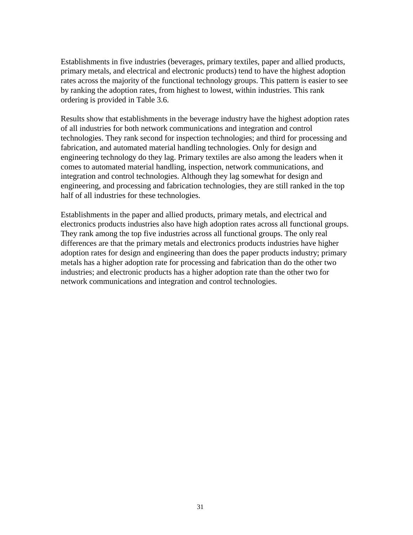Establishments in five industries (beverages, primary textiles, paper and allied products, primary metals, and electrical and electronic products) tend to have the highest adoption rates across the majority of the functional technology groups. This pattern is easier to see by ranking the adoption rates, from highest to lowest, within industries. This rank ordering is provided in Table 3.6.

Results show that establishments in the beverage industry have the highest adoption rates of all industries for both network communications and integration and control technologies. They rank second for inspection technologies; and third for processing and fabrication, and automated material handling technologies. Only for design and engineering technology do they lag. Primary textiles are also among the leaders when it comes to automated material handling, inspection, network communications, and integration and control technologies. Although they lag somewhat for design and engineering, and processing and fabrication technologies, they are still ranked in the top half of all industries for these technologies.

Establishments in the paper and allied products, primary metals, and electrical and electronics products industries also have high adoption rates across all functional groups. They rank among the top five industries across all functional groups. The only real differences are that the primary metals and electronics products industries have higher adoption rates for design and engineering than does the paper products industry; primary metals has a higher adoption rate for processing and fabrication than do the other two industries; and electronic products has a higher adoption rate than the other two for network communications and integration and control technologies.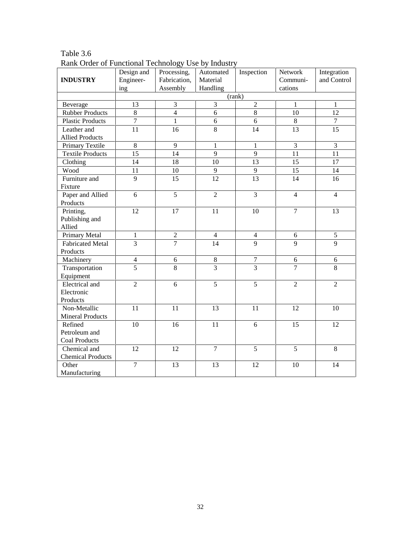| <b>INDUSTRY</b>                       | Design and<br>Engineer-<br>ing | ---- <i>- oj</i><br>Processing,<br>Fabrication,<br>Assembly | Automated<br>Material<br>Handling | Inspection       | Network<br>Communi-<br>cations | Integration<br>and Control |
|---------------------------------------|--------------------------------|-------------------------------------------------------------|-----------------------------------|------------------|--------------------------------|----------------------------|
|                                       |                                |                                                             |                                   | (rank)           |                                |                            |
| Beverage                              | 13                             | 3                                                           | 3                                 | $\overline{2}$   | $\mathbf{1}$                   | $\mathbf{1}$               |
| <b>Rubber Products</b>                | 8                              | $\overline{4}$                                              | 6                                 | 8                | 10                             | 12                         |
| <b>Plastic Products</b>               | $\overline{7}$                 | $\mathbf{1}$                                                | 6                                 | 6                | $\,8\,$                        | $\overline{7}$             |
| Leather and<br><b>Allied Products</b> | 11                             | 16                                                          | 8                                 | 14               | 13                             | 15                         |
| Primary Textile                       | $8\,$                          | 9                                                           | $\mathbf{1}$                      | $\mathbf{1}$     | $\overline{3}$                 | $\overline{3}$             |
| <b>Textile Products</b>               | $\overline{15}$                | 14                                                          | 9                                 | 9                | 11                             | 11                         |
| Clothing                              | 14                             | 18                                                          | $10\,$                            | 13               | 15                             | 17                         |
| Wood                                  | 11                             | $10\,$                                                      | 9                                 | 9                | 15                             | 14                         |
| Furniture and                         | 9                              | 15                                                          | 12                                | 13               | 14                             | 16                         |
| Fixture                               | 6                              | $\overline{5}$                                              | $\overline{2}$                    | 3                | $\overline{4}$                 | $\overline{4}$             |
| Paper and Allied<br>Products          |                                |                                                             |                                   |                  |                                |                            |
| Printing,                             | 12                             | 17                                                          | 11                                | 10               | $\overline{7}$                 | 13                         |
| Publishing and<br>Allied              |                                |                                                             |                                   |                  |                                |                            |
| Primary Metal                         | $\mathbf{1}$                   | $\overline{c}$                                              | $\overline{4}$                    | $\overline{4}$   | $\sqrt{6}$                     | 5                          |
| <b>Fabricated Metal</b>               | $\overline{3}$                 | $\overline{7}$                                              | 14                                | $\mathbf{Q}$     | 9                              | 9                          |
| Products                              |                                |                                                             |                                   |                  |                                |                            |
| Machinery                             | $\overline{4}$                 | $\sqrt{6}$                                                  | $\,8\,$                           | $\boldsymbol{7}$ | $\sqrt{6}$                     | $\sqrt{6}$                 |
| Transportation<br>Equipment           | $\overline{5}$                 | 8                                                           | 3                                 | $\overline{3}$   | $\overline{7}$                 | 8                          |
| Electrical and                        | $\overline{2}$                 | 6                                                           | 5                                 | 5                | $\overline{2}$                 | $\overline{2}$             |
| Electronic                            |                                |                                                             |                                   |                  |                                |                            |
| Products                              |                                |                                                             |                                   |                  |                                |                            |
| Non-Metallic                          | 11                             | 11                                                          | 13                                | 11               | 12                             | 10                         |
| <b>Mineral Products</b>               |                                |                                                             |                                   |                  |                                |                            |
| Refined                               | 10                             | 16                                                          | 11                                | 6                | 15                             | 12                         |
| Petroleum and                         |                                |                                                             |                                   |                  |                                |                            |
| <b>Coal Products</b>                  |                                |                                                             |                                   |                  |                                |                            |
| Chemical and                          | 12                             | 12                                                          | $\overline{7}$                    | 5                | 5                              | 8                          |
| <b>Chemical Products</b>              |                                |                                                             |                                   |                  |                                |                            |
| Other<br>Manufacturing                | $\overline{7}$                 | 13                                                          | 13                                | 12               | 10                             | 14                         |

Table 3.6 Rank Order of Functional Technology Use by Industry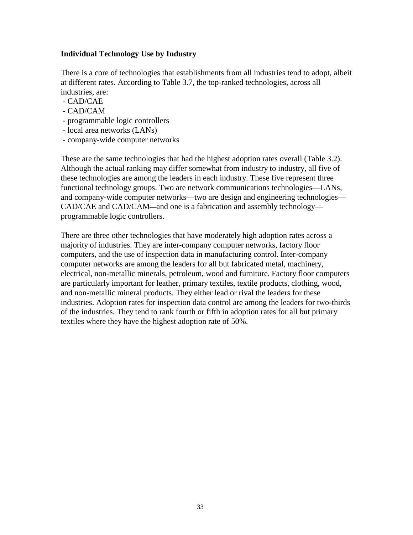#### **Individual Technology Use by Industry**

There is a core of technologies that establishments from all industries tend to adopt, albeit at different rates. According to Table 3.7, the top-ranked technologies, across all industries, are:

- CAD/CAE
- CAD/CAM
- programmable logic controllers
- local area networks (LANs)
- company-wide computer networks

These are the same technologies that had the highest adoption rates overall (Table 3.2). Although the actual ranking may differ somewhat from industry to industry, all five of these technologies are among the leaders in each industry. These five represent three functional technology groups. Two are network communications technologies—LANs, and company-wide computer networks—two are design and engineering technologies— CAD/CAE and CAD/CAM—and one is a fabrication and assembly technology programmable logic controllers.

There are three other technologies that have moderately high adoption rates across a majority of industries. They are inter-company computer networks, factory floor computers, and the use of inspection data in manufacturing control. Inter-company computer networks are among the leaders for all but fabricated metal, machinery, electrical, non-metallic minerals, petroleum, wood and furniture. Factory floor computers are particularly important for leather, primary textiles, textile products, clothing, wood, and non-metallic mineral products. They either lead or rival the leaders for these industries. Adoption rates for inspection data control are among the leaders for two-thirds of the industries. They tend to rank fourth or fifth in adoption rates for all but primary textiles where they have the highest adoption rate of 50%.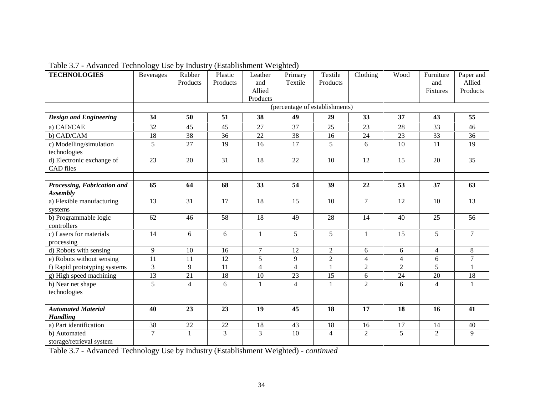| <b>TECHNOLOGIES</b>                            | <b>Beverages</b> | Rubber<br>Products | Plastic<br>Products | Leather<br>and<br>Allied<br>Products | Primary<br>Textile             | Textile<br>Products | Clothing       | Wood           | Furniture<br>and<br>Fixtures | Paper and<br>Allied<br>Products |
|------------------------------------------------|------------------|--------------------|---------------------|--------------------------------------|--------------------------------|---------------------|----------------|----------------|------------------------------|---------------------------------|
|                                                |                  |                    |                     |                                      | (percentage of establishments) |                     |                |                |                              |                                 |
| <b>Design and Engineering</b>                  | 34               | 50                 | 51                  | 38                                   | 49                             | 29                  | 33             | 37             | 43                           | 55                              |
| a) CAD/CAE                                     | 32               | 45                 | 45                  | 27                                   | 37                             | 25                  | 23             | 28             | 33                           | 46                              |
| b) CAD/CAM                                     | 18               | 38                 | 36                  | 22                                   | 38                             | 16                  | $24\,$         | 23             | 33                           | 36                              |
| c) Modelling/simulation<br>technologies        | 5                | 27                 | 19                  | 16                                   | 17                             | 5                   | 6              | 10             | 11                           | 19                              |
| d) Electronic exchange of<br><b>CAD</b> files  | 23               | 20                 | 31                  | 18                                   | 22                             | 10                  | 12             | 15             | 20                           | 35                              |
| Processing, Fabrication and<br><b>Assembly</b> | 65               | 64                 | 68                  | 33                                   | 54                             | 39                  | 22             | 53             | 37                           | 63                              |
| a) Flexible manufacturing<br>systems           | 13               | 31                 | 17                  | 18                                   | 15                             | 10                  | $\overline{7}$ | 12             | 10                           | 13                              |
| b) Programmable logic<br>controllers           | 62               | 46                 | 58                  | 18                                   | 49                             | 28                  | 14             | 40             | 25                           | 56                              |
| c) Lasers for materials<br>processing          | 14               | 6                  | 6                   | $\mathbf{1}$                         | 5                              | 5                   | $\mathbf{1}$   | 15             | 5 <sup>5</sup>               | $\overline{7}$                  |
| d) Robots with sensing                         | 9                | 10                 | 16                  | $\tau$                               | 12                             | $\overline{2}$      | 6              | 6              | $\overline{4}$               | 8                               |
| e) Robots without sensing                      | $\overline{11}$  | 11                 | 12                  | $\overline{5}$                       | 9                              | $\overline{2}$      | $\overline{4}$ | $\overline{4}$ | 6                            | $\overline{7}$                  |
| f) Rapid prototyping systems                   | 3                | 9                  | 11                  | $\overline{4}$                       | $\overline{4}$                 | $\mathbf{1}$        | $\overline{2}$ | $\overline{2}$ | 5                            | $\mathbf{1}$                    |
| g) High speed machining                        | 13               | 21                 | 18                  | 10                                   | 23                             | 15                  | 6              | 24             | 20                           | 18                              |
| h) Near net shape<br>technologies              | 5                | $\overline{4}$     | 6                   | $\mathbf{1}$                         | $\overline{4}$                 | $\mathbf{1}$        | $\overline{2}$ | 6              | $\overline{4}$               | $\mathbf{1}$                    |
|                                                |                  |                    |                     |                                      |                                |                     |                |                |                              |                                 |
| <b>Automated Material</b><br><b>Handling</b>   | 40               | 23                 | 23                  | 19                                   | 45                             | 18                  | 17             | 18             | 16                           | 41                              |
| a) Part identification                         | 38               | 22                 | 22                  | 18                                   | 43                             | 18                  | 16             | 17             | 14                           | $40\,$                          |
| b) Automated<br>storage/retrieval system       | $\overline{7}$   | $\mathbf{1}$       | $\overline{3}$      | $\overline{3}$                       | 10                             | $\overline{4}$      | $\overline{2}$ | 5              | 2                            | 9                               |

Table 3.7 - Advanced Technology Use by Industry (Establishment Weighted)

Table 3.7 - Advanced Technology Use by Industry (Establishment Weighted) - *continued*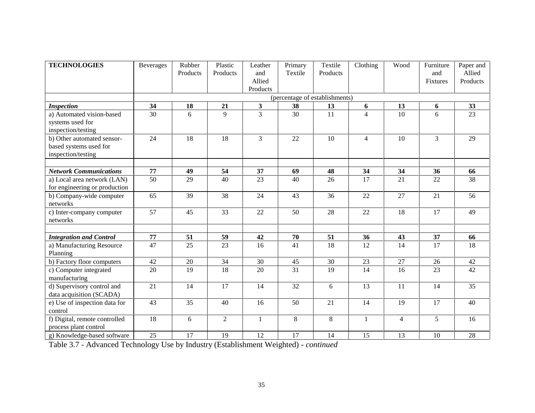| <b>TECHNOLOGIES</b>                                                        | <b>Beverages</b> | Rubber<br>Products | Plastic<br>Products | Leather<br>and<br>Allied | Primary<br>Textile             | Textile<br>Products | Clothing       | Wood           | Furniture<br>and<br>Fixtures | Paper and<br>Allied<br>Products |
|----------------------------------------------------------------------------|------------------|--------------------|---------------------|--------------------------|--------------------------------|---------------------|----------------|----------------|------------------------------|---------------------------------|
|                                                                            |                  |                    |                     | Products                 |                                |                     |                |                |                              |                                 |
|                                                                            |                  |                    |                     |                          | (percentage of establishments) |                     |                |                |                              |                                 |
| <b>Inspection</b>                                                          | 34               | 18                 | 21                  | $\overline{\mathbf{3}}$  | 38                             | 13                  | 6              | 13             | 6                            | 33                              |
| a) Automated vision-based<br>systems used for<br>inspection/testing        | 30               | 6                  | 9                   | $\overline{3}$           | 30                             | 11                  | $\overline{4}$ | 10             | 6                            | 23                              |
| b) Other automated sensor-<br>based systems used for<br>inspection/testing | 24               | 18                 | 18                  | 3                        | 22                             | 10                  | $\overline{4}$ | 10             | $\overline{3}$               | 29                              |
| <b>Network Communications</b>                                              | 77               | 49                 |                     |                          |                                |                     |                |                |                              |                                 |
| a) Local area network (LAN)                                                | 50               | 29                 | 54<br>40            | 37<br>23                 | 69<br>40                       | 48<br>26            | 34<br>17       | 34<br>21       | 36<br>22                     | 66<br>38                        |
| for engineering or production                                              |                  |                    |                     |                          |                                |                     |                |                |                              |                                 |
| b) Company-wide computer<br>networks                                       | 65               | 39                 | 38                  | 24                       | 43                             | 36                  | 22             | 27             | 21                           | 56                              |
| c) Inter-company computer<br>networks                                      | 57               | 45                 | 33                  | 22                       | 50                             | 28                  | 22             | 18             | 17                           | 49                              |
|                                                                            |                  |                    |                     |                          |                                |                     |                |                |                              |                                 |
| <b>Integration and Control</b>                                             | 77               | 51                 | 59                  | 42                       | 70                             | 51                  | 36             | 43             | 37                           | 66                              |
| a) Manufacturing Resource<br>Planning                                      | 47               | 25                 | 23                  | 16                       | 41                             | 18                  | 12             | 14             | 17                           | 18                              |
| b) Factory floor computers                                                 | 42               | 20                 | 34                  | 30                       | 45                             | 30                  | 23             | 27             | 26                           | 42                              |
| c) Computer integrated<br>manufacturing                                    | 20               | 19                 | 18                  | 20                       | 31                             | 19                  | 14             | 16             | 23                           | 42                              |
| d) Supervisory control and<br>data acquisition (SCADA)                     | 21               | 14                 | 17                  | 14                       | 32                             | 6                   | 13             | 11             | 14                           | 35                              |
| e) Use of inspection data for<br>control                                   | 43               | 35                 | 40                  | 16                       | 50                             | 21                  | 14             | 19             | 17                           | 40                              |
| f) Digital, remote controlled<br>process plant control                     | 18               | 6                  | $\overline{2}$      | $\mathbf{1}$             | $8\,$                          | 8                   | $\mathbf{1}$   | $\overline{4}$ | 5                            | 16                              |
| g) Knowledge-based software                                                | 25               | 17                 | 19                  | 12                       | 17                             | 14                  | 15             | 13             | 10                           | 28                              |

Table 3.7 - Advanced Technology Use by Industry (Establishment Weighted) *- continued*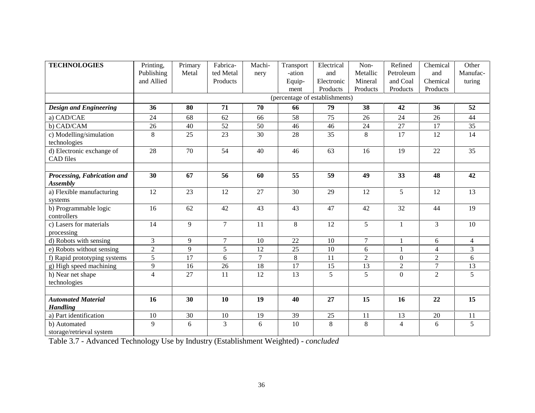| <b>TECHNOLOGIES</b>                            | Printing,      | Primary | Fabrica-         | Machi- | Transport | Electrical                     | Non-           | Refined          | Chemical       | Other          |
|------------------------------------------------|----------------|---------|------------------|--------|-----------|--------------------------------|----------------|------------------|----------------|----------------|
|                                                | Publishing     | Metal   | ted Metal        | nery   | -ation    | and                            | Metallic       | Petroleum        | and            | Manufac-       |
|                                                | and Allied     |         | Products         |        | Equip-    | Electronic                     | Mineral        | and Coal         | Chemical       | turing         |
|                                                |                |         |                  |        | ment      | Products                       | Products       | Products         | Products       |                |
|                                                |                |         |                  |        |           | (percentage of establishments) |                |                  |                |                |
| <b>Design and Engineering</b>                  | 36             | 80      | 71               | 70     | 66        | 79                             | 38             | 42               | 36             | 52             |
| a) CAD/CAE                                     | 24             | 68      | 62               | 66     | 58        | 75                             | 26             | 24               | 26             | 44             |
| b) CAD/CAM                                     | 26             | 40      | 52               | 50     | 46        | 46                             | 24             | 27               | 17             | 35             |
| c) Modelling/simulation<br>technologies        | 8              | 25      | 23               | 30     | 28        | 35                             | 8              | $\overline{17}$  | 12             | 14             |
| d) Electronic exchange of<br><b>CAD</b> files  | 28             | 70      | 54               | 40     | 46        | 63                             | 16             | 19               | 22             | 35             |
|                                                |                |         |                  |        |           |                                |                |                  |                |                |
| Processing, Fabrication and<br><b>Assembly</b> | 30             | 67      | 56               | 60     | 55        | 59                             | 49             | 33               | 48             | 42             |
| a) Flexible manufacturing<br>systems           | 12             | 23      | 12               | 27     | 30        | 29                             | 12             | 5                | 12             | 13             |
| b) Programmable logic<br>controllers           | 16             | 62      | 42               | 43     | 43        | 47                             | 42             | 32               | 44             | 19             |
| c) Lasers for materials<br>processing          | 14             | 9       | $\overline{7}$   | 11     | 8         | 12                             | 5              | $\mathbf{1}$     | $\overline{3}$ | 10             |
| d) Robots with sensing                         | 3              | 9       | $\boldsymbol{7}$ | 10     | 22        | 10                             | $\overline{7}$ | $\mathbf{1}$     | 6              | $\overline{4}$ |
| e) Robots without sensing                      | $\overline{2}$ | 9       | $\sqrt{5}$       | 12     | 25        | 10                             | 6              |                  | $\overline{4}$ | 3              |
| f) Rapid prototyping systems                   | $\overline{5}$ | 17      | 6                | $\tau$ | 8         | 11                             | $\mathfrak{2}$ | $\boldsymbol{0}$ | $\overline{2}$ | 6              |
| g) High speed machining                        | 9              | 16      | 26               | 18     | 17        | 15                             | 13             | $\overline{2}$   | $\overline{7}$ | 13             |
| h) Near net shape<br>technologies              | $\overline{4}$ | 27      | 11               | 12     | 13        | 5                              | 5              | $\mathbf{0}$     | $\overline{2}$ | 5              |
|                                                |                |         |                  |        |           |                                |                |                  |                |                |
| <b>Automated Material</b><br><b>Handling</b>   | 16             | 30      | 10               | 19     | 40        | 27                             | 15             | 16               | 22             | 15             |
| a) Part identification                         | $10\,$         | 30      | 10               | 19     | 39        | 25                             | 11             | 13               | 20             | 11             |
| b) Automated<br>storage/retrieval system       | 9              | 6       | 3                | 6      | 10        | 8                              | 8              | $\overline{4}$   | 6              | 5              |

Table 3.7 - Advanced Technology Use by Industry (Establishment Weighted) *- concluded*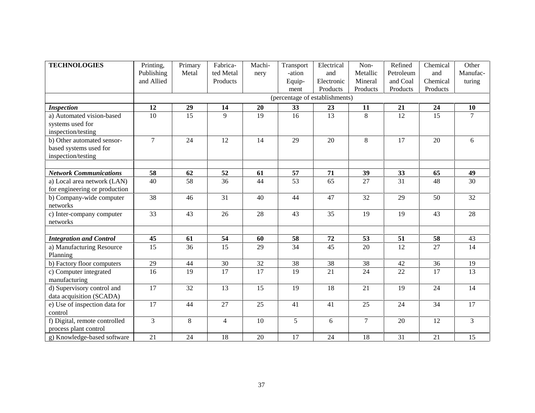| <b>TECHNOLOGIES</b>            | Printing,       | Primary | Fabrica-        | Machi- | Transport                      | Electrical | Non-           | Refined   | Chemical        | Other           |
|--------------------------------|-----------------|---------|-----------------|--------|--------------------------------|------------|----------------|-----------|-----------------|-----------------|
|                                | Publishing      | Metal   | ted Metal       | nery   | -ation                         | and        | Metallic       | Petroleum | and             | Manufac-        |
|                                | and Allied      |         | Products        |        | Equip-                         | Electronic | Mineral        | and Coal  | Chemical        | turing          |
|                                |                 |         |                 |        | ment                           | Products   | Products       | Products  | Products        |                 |
|                                |                 |         |                 |        | (percentage of establishments) |            |                |           |                 |                 |
| <b>Inspection</b>              | 12              | 29      | 14              | 20     | 33                             | 23         | 11             | 21        | 24              | 10              |
| a) Automated vision-based      | 10              | 15      | 9               | 19     | 16                             | 13         | 8              | 12        | 15              | $\overline{7}$  |
| systems used for               |                 |         |                 |        |                                |            |                |           |                 |                 |
| inspection/testing             |                 |         |                 |        |                                |            |                |           |                 |                 |
| b) Other automated sensor-     | $\overline{7}$  | 24      | 12              | 14     | 29                             | 20         | $\,8\,$        | 17        | 20              | 6               |
| based systems used for         |                 |         |                 |        |                                |            |                |           |                 |                 |
| inspection/testing             |                 |         |                 |        |                                |            |                |           |                 |                 |
|                                |                 |         |                 |        |                                |            |                |           |                 |                 |
| <b>Network Communications</b>  | 58              | 62      | 52              | 61     | 57                             | 71         | 39             | 33        | 65              | 49              |
| a) Local area network (LAN)    | 40              | 58      | 36              | 44     | 53                             | 65         | 27             | 31        | 48              | 30              |
| for engineering or production  |                 |         |                 |        |                                |            |                |           |                 |                 |
| b) Company-wide computer       | 38              | 46      | 31              | 40     | 44                             | 47         | 32             | 29        | 50              | 32              |
| networks                       |                 |         |                 |        |                                |            |                |           |                 |                 |
| c) Inter-company computer      | 33              | 43      | 26              | 28     | 43                             | 35         | 19             | 19        | 43              | 28              |
| networks                       |                 |         |                 |        |                                |            |                |           |                 |                 |
|                                |                 |         |                 |        |                                |            |                |           |                 |                 |
| <b>Integration and Control</b> | 45              | 61      | 54              | 60     | 58                             | 72         | 53             | 51        | 58              | 43              |
| a) Manufacturing Resource      | 15              | 36      | 15              | 29     | 34                             | 45         | 20             | 12        | 27              | 14              |
| Planning                       |                 |         |                 |        |                                |            |                |           |                 |                 |
| b) Factory floor computers     | $\overline{29}$ | 44      | 30              | 32     | 38                             | 38         | 38             | 42        | 36              | 19              |
| c) Computer integrated         | 16              | 19      | 17              | 17     | 19                             | 21         | 24             | 22        | 17              | 13              |
| manufacturing                  |                 |         |                 |        |                                |            |                |           |                 |                 |
| d) Supervisory control and     | 17              | 32      | 13              | 15     | 19                             | 18         | 21             | 19        | 24              | 14              |
| data acquisition (SCADA)       |                 |         |                 |        |                                |            |                |           |                 |                 |
| e) Use of inspection data for  | 17              | 44      | $\overline{27}$ | 25     | 41                             | 41         | 25             | 24        | $\overline{34}$ | $\overline{17}$ |
| control                        |                 |         |                 |        |                                |            |                |           |                 |                 |
| f) Digital, remote controlled  | $\overline{3}$  | $\,8\,$ | $\overline{4}$  | 10     | 5                              | 6          | $\overline{7}$ | 20        | 12              | $\overline{3}$  |
| process plant control          |                 |         |                 |        |                                |            |                |           |                 |                 |
| g) Knowledge-based software    | 21              | 24      | 18              | 20     | 17                             | 24         | 18             | 31        | 21              | 15              |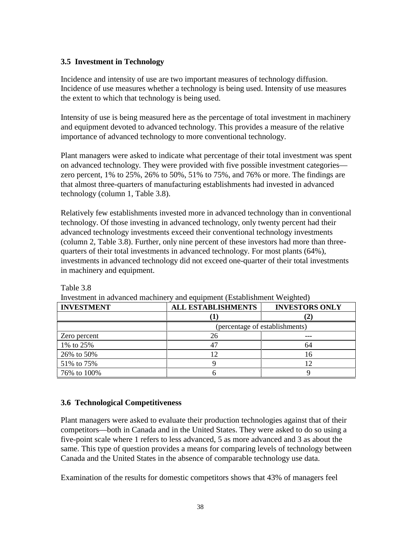### **3.5 Investment in Technology**

Incidence and intensity of use are two important measures of technology diffusion. Incidence of use measures whether a technology is being used. Intensity of use measures the extent to which that technology is being used.

Intensity of use is being measured here as the percentage of total investment in machinery and equipment devoted to advanced technology. This provides a measure of the relative importance of advanced technology to more conventional technology.

Plant managers were asked to indicate what percentage of their total investment was spent on advanced technology. They were provided with five possible investment categories zero percent, 1% to 25%, 26% to 50%, 51% to 75%, and 76% or more. The findings are that almost three-quarters of manufacturing establishments had invested in advanced technology (column 1, Table 3.8).

Relatively few establishments invested more in advanced technology than in conventional technology. Of those investing in advanced technology, only twenty percent had their advanced technology investments exceed their conventional technology investments (column 2, Table 3.8). Further, only nine percent of these investors had more than threequarters of their total investments in advanced technology. For most plants (64%), investments in advanced technology did not exceed one-quarter of their total investments in machinery and equipment.

| <b>INVESTMENT</b> | <b>ALL ESTABLISHMENTS</b>      | <b>INVESTORS ONLY</b> |  |  |  |  |
|-------------------|--------------------------------|-----------------------|--|--|--|--|
|                   |                                |                       |  |  |  |  |
|                   | (percentage of establishments) |                       |  |  |  |  |
| Zero percent      | 26                             |                       |  |  |  |  |
| 1% to 25%         |                                | 64                    |  |  |  |  |
| 26% to 50%        |                                | I h                   |  |  |  |  |
| 51% to 75%        |                                |                       |  |  |  |  |
| 76% to 100%       |                                |                       |  |  |  |  |

Investment in advanced machinery and equipment (Establishment Weighted)

### **3.6 Technological Competitiveness**

Table 3.8

Plant managers were asked to evaluate their production technologies against that of their competitors—both in Canada and in the United States. They were asked to do so using a five-point scale where 1 refers to less advanced, 5 as more advanced and 3 as about the same. This type of question provides a means for comparing levels of technology between Canada and the United States in the absence of comparable technology use data.

Examination of the results for domestic competitors shows that 43% of managers feel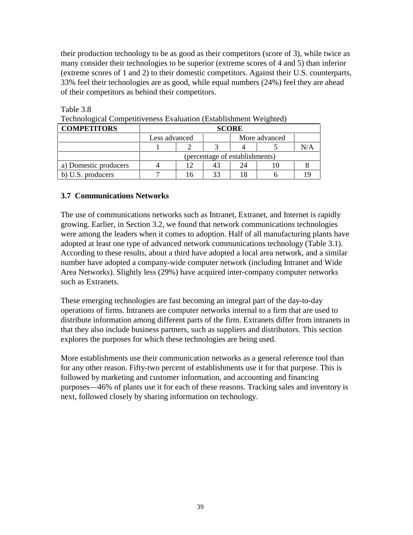their production technology to be as good as their competitors (score of 3), while twice as many consider their technologies to be superior (extreme scores of 4 and 5) than inferior (extreme scores of 1 and 2) to their domestic competitors. Against their U.S. counterparts, 33% feel their technologies are as good, while equal numbers (24%) feel they are ahead of their competitors as behind their competitors.

| <b>COMPETITORS</b>    | <b>SCORE</b>                   |    |  |               |  |  |  |
|-----------------------|--------------------------------|----|--|---------------|--|--|--|
|                       | Less advanced                  |    |  | More advanced |  |  |  |
|                       |                                |    |  |               |  |  |  |
|                       | (percentage of establishments) |    |  |               |  |  |  |
| a) Domestic producers |                                |    |  |               |  |  |  |
| b) U.S. producers     |                                | 16 |  |               |  |  |  |

Technological Competitiveness Evaluation (Establishment Weighted)

#### **3.7 Communications Networks**

Table 3.8

The use of communications networks such as Intranet, Extranet, and Internet is rapidly growing. Earlier, in Section 3.2, we found that network communications technologies were among the leaders when it comes to adoption. Half of all manufacturing plants have adopted at least one type of advanced network communications technology (Table 3.1). According to these results, about a third have adopted a local area network, and a similar number have adopted a company-wide computer network (including Intranet and Wide Area Networks). Slightly less (29%) have acquired inter-company computer networks such as Extranets.

These emerging technologies are fast becoming an integral part of the day-to-day operations of firms. Intranets are computer networks internal to a firm that are used to distribute information among different parts of the firm. Extranets differ from intranets in that they also include business partners, such as suppliers and distributors. This section explores the purposes for which these technologies are being used.

More establishments use their communication networks as a general reference tool than for any other reason. Fifty-two percent of establishments use it for that purpose. This is followed by marketing and customer information, and accounting and financing purposes—46% of plants use it for each of these reasons. Tracking sales and inventory is next, followed closely by sharing information on technology.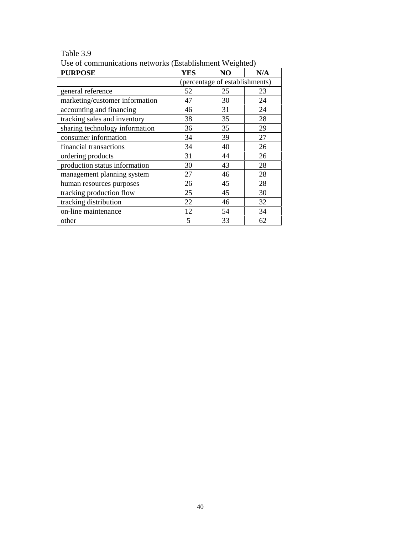| <b>PURPOSE</b>                 | <b>YES</b>                     | NO | N/A |
|--------------------------------|--------------------------------|----|-----|
|                                | (percentage of establishments) |    |     |
| general reference              | 52                             | 25 | 23  |
| marketing/customer information | 47                             | 30 | 24  |
| accounting and financing       | 46                             | 31 | 24  |
| tracking sales and inventory   | 38                             | 35 | 28  |
| sharing technology information | 36                             | 35 | 29  |
| consumer information           | 34                             | 39 | 27  |
| financial transactions         | 34                             | 40 | 26  |
| ordering products              | 31                             | 44 | 26  |
| production status information  | 30                             | 43 | 28  |
| management planning system     | 27                             | 46 | 28  |
| human resources purposes       | 26                             | 45 | 28  |
| tracking production flow       | 25                             | 45 | 30  |
| tracking distribution          | 22                             | 46 | 32  |
| on-line maintenance            | 12                             | 54 | 34  |
| other                          | 5                              | 33 | 62  |

Table 3.9

Use of communications networks (Establishment Weighted)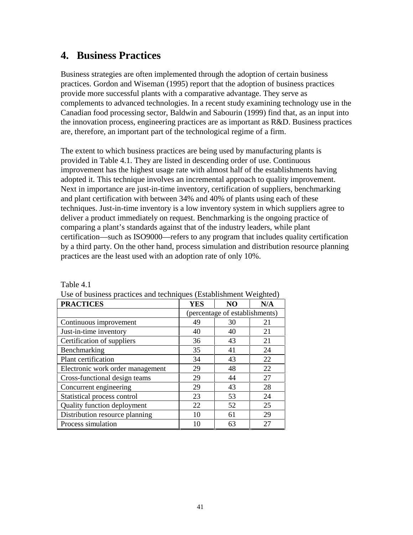## **4. Business Practices**

Business strategies are often implemented through the adoption of certain business practices. Gordon and Wiseman (1995) report that the adoption of business practices provide more successful plants with a comparative advantage. They serve as complements to advanced technologies. In a recent study examining technology use in the Canadian food processing sector, Baldwin and Sabourin (1999) find that, as an input into the innovation process, engineering practices are as important as R&D. Business practices are, therefore, an important part of the technological regime of a firm.

The extent to which business practices are being used by manufacturing plants is provided in Table 4.1. They are listed in descending order of use. Continuous improvement has the highest usage rate with almost half of the establishments having adopted it. This technique involves an incremental approach to quality improvement. Next in importance are just-in-time inventory, certification of suppliers, benchmarking and plant certification with between 34% and 40% of plants using each of these techniques. Just-in-time inventory is a low inventory system in which suppliers agree to deliver a product immediately on request. Benchmarking is the ongoing practice of comparing a plant's standards against that of the industry leaders, while plant certification—such as ISO9000—refers to any program that includes quality certification by a third party. On the other hand, process simulation and distribution resource planning practices are the least used with an adoption rate of only 10%.

| <b>PRACTICES</b>                 | <b>YES</b> | N <sub>O</sub>                 | N/A |  |
|----------------------------------|------------|--------------------------------|-----|--|
|                                  |            | (percentage of establishments) |     |  |
| Continuous improvement           | 49         | 30                             | 21  |  |
| Just-in-time inventory           | 40         | 40                             | 21  |  |
| Certification of suppliers       | 36         | 43                             | 21  |  |
| Benchmarking                     | 35         | 41                             | 24  |  |
| Plant certification              | 34         | 43                             | 22  |  |
| Electronic work order management | 29         | 48                             | 22  |  |
| Cross-functional design teams    | 29         | 44                             | 27  |  |
| Concurrent engineering           | 29         | 43                             | 28  |  |
| Statistical process control      | 23         | 53                             | 24  |  |
| Quality function deployment      | 22         | 52                             | 25  |  |
| Distribution resource planning   | 10         | 61                             | 29  |  |
| Process simulation               | 10         | 63                             | 27  |  |

Table 4.1

| Use of business practices and techniques (Establishment Weighted) |  |  |
|-------------------------------------------------------------------|--|--|
|                                                                   |  |  |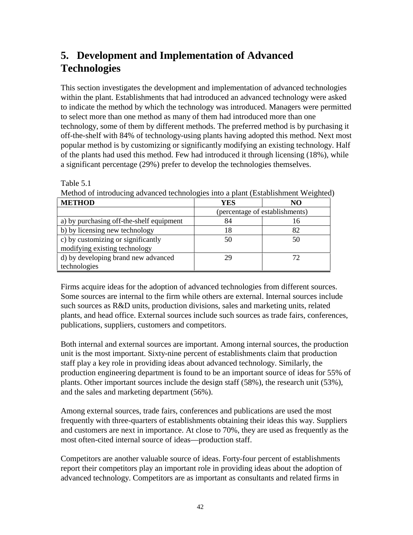# **5. Development and Implementation of Advanced Technologies**

This section investigates the development and implementation of advanced technologies within the plant. Establishments that had introduced an advanced technology were asked to indicate the method by which the technology was introduced. Managers were permitted to select more than one method as many of them had introduced more than one technology, some of them by different methods. The preferred method is by purchasing it off-the-shelf with 84% of technology-using plants having adopted this method. Next most popular method is by customizing or significantly modifying an existing technology. Half of the plants had used this method. Few had introduced it through licensing (18%), while a significant percentage (29%) prefer to develop the technologies themselves.

| iviction of introducing advanced technologies into a plant (Establishment weighted) |            |                                |  |
|-------------------------------------------------------------------------------------|------------|--------------------------------|--|
| <b>METHOD</b>                                                                       | <b>YES</b> | NO                             |  |
|                                                                                     |            | (percentage of establishments) |  |
| a) by purchasing off-the-shelf equipment                                            | 84         | 16                             |  |
| b) by licensing new technology                                                      | 18         | 82                             |  |
| c) by customizing or significantly                                                  | 50         | 50                             |  |
| modifying existing technology                                                       |            |                                |  |
| d) by developing brand new advanced                                                 | 29         |                                |  |
| technologies                                                                        |            |                                |  |

Table 5.1 Method of introducing advanced technologies into a plant (Establishment Weighted)

Firms acquire ideas for the adoption of advanced technologies from different sources. Some sources are internal to the firm while others are external. Internal sources include such sources as R&D units, production divisions, sales and marketing units, related plants, and head office. External sources include such sources as trade fairs, conferences, publications, suppliers, customers and competitors.

Both internal and external sources are important. Among internal sources, the production unit is the most important. Sixty-nine percent of establishments claim that production staff play a key role in providing ideas about advanced technology. Similarly, the production engineering department is found to be an important source of ideas for 55% of plants. Other important sources include the design staff (58%), the research unit (53%), and the sales and marketing department (56%).

Among external sources, trade fairs, conferences and publications are used the most frequently with three-quarters of establishments obtaining their ideas this way. Suppliers and customers are next in importance. At close to 70%, they are used as frequently as the most often-cited internal source of ideas—production staff.

Competitors are another valuable source of ideas. Forty-four percent of establishments report their competitors play an important role in providing ideas about the adoption of advanced technology. Competitors are as important as consultants and related firms in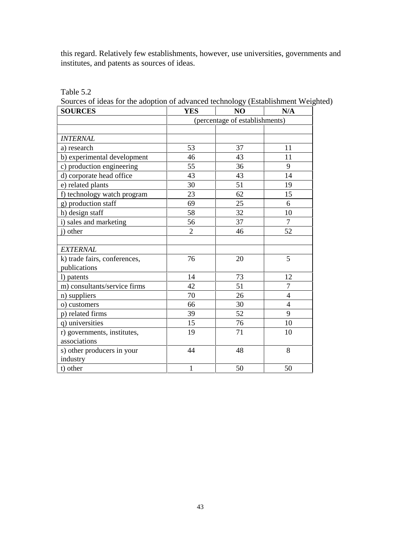this regard. Relatively few establishments, however, use universities, governments and institutes, and patents as sources of ideas.

| Table 5 |  |
|---------|--|
|---------|--|

Sources of ideas for the adoption of advanced technology (Establishment Weighted)

| <b>SOURCES</b>               | <b>YES</b>                     | NO | N/A            |
|------------------------------|--------------------------------|----|----------------|
|                              | (percentage of establishments) |    |                |
|                              |                                |    |                |
| <b>INTERNAL</b>              |                                |    |                |
| a) research                  | 53                             | 37 | 11             |
| b) experimental development  | 46                             | 43 | 11             |
| c) production engineering    | 55                             | 36 | 9              |
| d) corporate head office     | 43                             | 43 | 14             |
| e) related plants            | 30                             | 51 | 19             |
| f) technology watch program  | 23                             | 62 | 15             |
| g) production staff          | 69                             | 25 | 6              |
| h) design staff              | 58                             | 32 | 10             |
| i) sales and marketing       | 56                             | 37 | 7              |
| i) other                     | $\overline{2}$                 | 46 | 52             |
|                              |                                |    |                |
| <b>EXTERNAL</b>              |                                |    |                |
| k) trade fairs, conferences, | 76                             | 20 | 5              |
| publications                 |                                |    |                |
| l) patents                   | 14                             | 73 | 12             |
| m) consultants/service firms | 42                             | 51 | $\overline{7}$ |
| n) suppliers                 | 70                             | 26 | 4              |
| o) customers                 | 66                             | 30 | 4              |
| p) related firms             | 39                             | 52 | 9              |
| q) universities              | 15                             | 76 | 10             |
| r) governments, institutes,  | 19                             | 71 | 10             |
| associations                 |                                |    |                |
| s) other producers in your   | 44                             | 48 | 8              |
| industry                     |                                |    |                |
| t) other                     | $\mathbf 1$                    | 50 | 50             |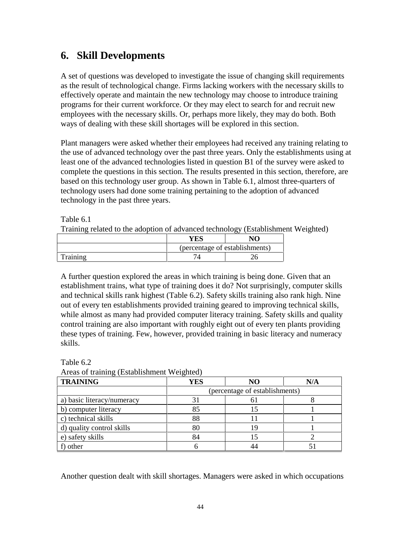## **6. Skill Developments**

A set of questions was developed to investigate the issue of changing skill requirements as the result of technological change. Firms lacking workers with the necessary skills to effectively operate and maintain the new technology may choose to introduce training programs for their current workforce. Or they may elect to search for and recruit new employees with the necessary skills. Or, perhaps more likely, they may do both. Both ways of dealing with these skill shortages will be explored in this section.

Plant managers were asked whether their employees had received any training relating to the use of advanced technology over the past three years. Only the establishments using at least one of the advanced technologies listed in question B1 of the survey were asked to complete the questions in this section. The results presented in this section, therefore, are based on this technology user group. As shown in Table 6.1, almost three-quarters of technology users had done some training pertaining to the adoption of advanced technology in the past three years.

Table 6.1

Training related to the adoption of advanced technology (Establishment Weighted)

|         | ÆS                             |  |  |
|---------|--------------------------------|--|--|
|         | (percentage of establishments) |  |  |
| raining |                                |  |  |

A further question explored the areas in which training is being done. Given that an establishment trains, what type of training does it do? Not surprisingly, computer skills and technical skills rank highest (Table 6.2). Safety skills training also rank high. Nine out of every ten establishments provided training geared to improving technical skills, while almost as many had provided computer literacy training. Safety skills and quality control training are also important with roughly eight out of every ten plants providing these types of training. Few, however, provided training in basic literacy and numeracy skills.

| <b>TRAINING</b>            | YES | NO                             | N/A |  |
|----------------------------|-----|--------------------------------|-----|--|
|                            |     | (percentage of establishments) |     |  |
| a) basic literacy/numeracy | 31  |                                |     |  |
| b) computer literacy       | 85  | 15                             |     |  |
| c) technical skills        | 88  |                                |     |  |
| d) quality control skills  | 80  | 19                             |     |  |
| e) safety skills           | 84  |                                |     |  |
| f) other                   |     |                                |     |  |

Table 6.2 Areas of training (Establishment Weighted)

Another question dealt with skill shortages. Managers were asked in which occupations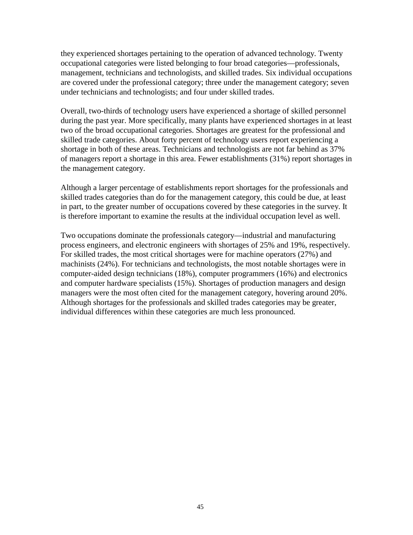they experienced shortages pertaining to the operation of advanced technology. Twenty occupational categories were listed belonging to four broad categories—professionals, management, technicians and technologists, and skilled trades. Six individual occupations are covered under the professional category; three under the management category; seven under technicians and technologists; and four under skilled trades.

Overall, two-thirds of technology users have experienced a shortage of skilled personnel during the past year. More specifically, many plants have experienced shortages in at least two of the broad occupational categories. Shortages are greatest for the professional and skilled trade categories. About forty percent of technology users report experiencing a shortage in both of these areas. Technicians and technologists are not far behind as 37% of managers report a shortage in this area. Fewer establishments (31%) report shortages in the management category.

Although a larger percentage of establishments report shortages for the professionals and skilled trades categories than do for the management category, this could be due, at least in part, to the greater number of occupations covered by these categories in the survey. It is therefore important to examine the results at the individual occupation level as well.

Two occupations dominate the professionals category—industrial and manufacturing process engineers, and electronic engineers with shortages of 25% and 19%, respectively. For skilled trades, the most critical shortages were for machine operators (27%) and machinists (24%). For technicians and technologists, the most notable shortages were in computer-aided design technicians (18%), computer programmers (16%) and electronics and computer hardware specialists (15%). Shortages of production managers and design managers were the most often cited for the management category, hovering around 20%. Although shortages for the professionals and skilled trades categories may be greater, individual differences within these categories are much less pronounced.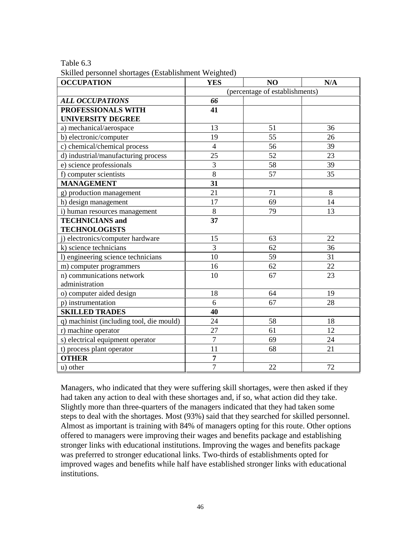Table 6.3

Skilled personnel shortages (Establishment Weighted)

| ance personnel shortages (Listashimment ++ eightee)<br><b>OCCUPATION</b> | <b>YES</b>                     | N <sub>O</sub> | N/A |
|--------------------------------------------------------------------------|--------------------------------|----------------|-----|
|                                                                          | (percentage of establishments) |                |     |
| <b>ALL OCCUPATIONS</b>                                                   | 66                             |                |     |
| PROFESSIONALS WITH                                                       | 41                             |                |     |
| <b>UNIVERSITY DEGREE</b>                                                 |                                |                |     |
| a) mechanical/aerospace                                                  | 13                             | 51             | 36  |
| b) electronic/computer                                                   | 19                             | 55             | 26  |
| c) chemical/chemical process                                             | $\overline{4}$                 | 56             | 39  |
| d) industrial/manufacturing process                                      | 25                             | 52             | 23  |
| e) science professionals                                                 | 3                              | 58             | 39  |
| f) computer scientists                                                   | 8                              | 57             | 35  |
| <b>MANAGEMENT</b>                                                        | 31                             |                |     |
| g) production management                                                 | 21                             | 71             | 8   |
| h) design management                                                     | 17                             | 69             | 14  |
| i) human resources management                                            | $8\,$                          | 79             | 13  |
| <b>TECHNICIANS</b> and                                                   | 37                             |                |     |
| <b>TECHNOLOGISTS</b>                                                     |                                |                |     |
| j) electronics/computer hardware                                         | 15                             | 63             | 22  |
| k) science technicians                                                   | $\overline{3}$                 | 62             | 36  |
| l) engineering science technicians                                       | 10                             | 59             | 31  |
| m) computer programmers                                                  | 16                             | 62             | 22  |
| n) communications network                                                | 10                             | 67             | 23  |
| administration                                                           |                                |                |     |
| o) computer aided design                                                 | 18                             | 64             | 19  |
| p) instrumentation                                                       | 6                              | 67             | 28  |
| <b>SKILLED TRADES</b>                                                    | 40                             |                |     |
| q) machinist (including tool, die mould)                                 | 24                             | 58             | 18  |
| r) machine operator                                                      | 27                             | 61             | 12  |
| s) electrical equipment operator                                         | $\overline{7}$                 | 69             | 24  |
| t) process plant operator                                                | 11                             | 68             | 21  |
| <b>OTHER</b>                                                             | $\overline{7}$                 |                |     |
| u) other                                                                 | $\overline{7}$                 | 22             | 72  |

Managers, who indicated that they were suffering skill shortages, were then asked if they had taken any action to deal with these shortages and, if so, what action did they take. Slightly more than three-quarters of the managers indicated that they had taken some steps to deal with the shortages. Most (93%) said that they searched for skilled personnel. Almost as important is training with 84% of managers opting for this route. Other options offered to managers were improving their wages and benefits package and establishing stronger links with educational institutions. Improving the wages and benefits package was preferred to stronger educational links. Two-thirds of establishments opted for improved wages and benefits while half have established stronger links with educational institutions.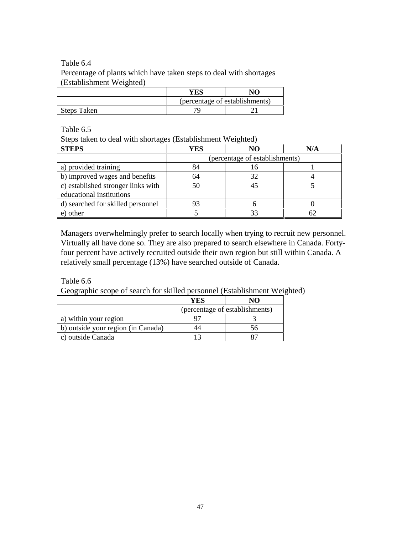#### Table 6.4

Percentage of plants which have taken steps to deal with shortages (Establishment Weighted)

|             | YES                            | NΩ |
|-------------|--------------------------------|----|
|             | (percentage of establishments) |    |
| Steps Taken | חר                             |    |

Table 6.5

Steps taken to deal with shortages (Establishment Weighted)

| <b>STEPS</b>                       | YES | NΟ                             | N/A |
|------------------------------------|-----|--------------------------------|-----|
|                                    |     | (percentage of establishments) |     |
| a) provided training               | 84  | 16                             |     |
| b) improved wages and benefits     | 64  | 32                             |     |
| c) established stronger links with | 50  |                                |     |
| educational institutions           |     |                                |     |
| d) searched for skilled personnel  |     |                                |     |
| other                              |     |                                |     |

Managers overwhelmingly prefer to search locally when trying to recruit new personnel. Virtually all have done so. They are also prepared to search elsewhere in Canada. Fortyfour percent have actively recruited outside their own region but still within Canada. A relatively small percentage (13%) have searched outside of Canada.

Table 6.6

Geographic scope of search for skilled personnel (Establishment Weighted)

|                                    | YES |                                |
|------------------------------------|-----|--------------------------------|
|                                    |     | (percentage of establishments) |
| a) within your region              |     |                                |
| b) outside your region (in Canada) |     |                                |
| c) outside Canada                  |     |                                |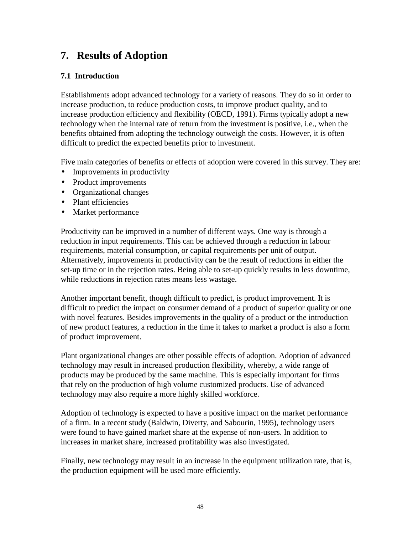## **7. Results of Adoption**

### **7.1 Introduction**

Establishments adopt advanced technology for a variety of reasons. They do so in order to increase production, to reduce production costs, to improve product quality, and to increase production efficiency and flexibility (OECD, 1991). Firms typically adopt a new technology when the internal rate of return from the investment is positive, i.e., when the benefits obtained from adopting the technology outweigh the costs. However, it is often difficult to predict the expected benefits prior to investment.

Five main categories of benefits or effects of adoption were covered in this survey. They are:

- Improvements in productivity
- Product improvements
- Organizational changes
- Plant efficiencies
- Market performance

Productivity can be improved in a number of different ways. One way is through a reduction in input requirements. This can be achieved through a reduction in labour requirements, material consumption, or capital requirements per unit of output. Alternatively, improvements in productivity can be the result of reductions in either the set-up time or in the rejection rates. Being able to set-up quickly results in less downtime, while reductions in rejection rates means less wastage.

Another important benefit, though difficult to predict, is product improvement. It is difficult to predict the impact on consumer demand of a product of superior quality or one with novel features. Besides improvements in the quality of a product or the introduction of new product features, a reduction in the time it takes to market a product is also a form of product improvement.

Plant organizational changes are other possible effects of adoption. Adoption of advanced technology may result in increased production flexibility, whereby, a wide range of products may be produced by the same machine. This is especially important for firms that rely on the production of high volume customized products. Use of advanced technology may also require a more highly skilled workforce.

Adoption of technology is expected to have a positive impact on the market performance of a firm. In a recent study (Baldwin, Diverty, and Sabourin, 1995), technology users were found to have gained market share at the expense of non-users. In addition to increases in market share, increased profitability was also investigated.

Finally, new technology may result in an increase in the equipment utilization rate, that is, the production equipment will be used more efficiently.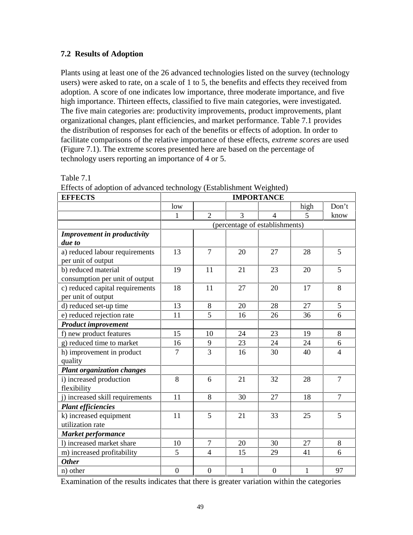### **7.2 Results of Adoption**

Plants using at least one of the 26 advanced technologies listed on the survey (technology users) were asked to rate, on a scale of 1 to 5, the benefits and effects they received from adoption. A score of one indicates low importance, three moderate importance, and five high importance. Thirteen effects, classified to five main categories, were investigated. The five main categories are: productivity improvements, product improvements, plant organizational changes, plant efficiencies, and market performance. Table 7.1 provides the distribution of responses for each of the benefits or effects of adoption. In order to facilitate comparisons of the relative importance of these effects, *extreme scores* are used (Figure 7.1). The extreme scores presented here are based on the percentage of technology users reporting an importance of 4 or 5.

| <b>EFFECTS</b>                                        | <b>IMPORTANCE</b> |                |              |                                |              |                |
|-------------------------------------------------------|-------------------|----------------|--------------|--------------------------------|--------------|----------------|
|                                                       | low               |                |              |                                | high         | Don't          |
|                                                       | 1                 | $\overline{2}$ | 3            | 4                              | 5            | know           |
|                                                       |                   |                |              | (percentage of establishments) |              |                |
| <b>Improvement in productivity</b>                    |                   |                |              |                                |              |                |
| due to                                                |                   |                |              |                                |              |                |
| a) reduced labour requirements<br>per unit of output  | 13                | $\overline{7}$ | 20           | 27                             | 28           | 5              |
| b) reduced material                                   | 19                | 11             | 21           | 23                             | 20           | 5              |
| consumption per unit of output                        |                   |                |              |                                |              |                |
| c) reduced capital requirements<br>per unit of output | 18                | 11             | 27           | 20                             | 17           | 8              |
| d) reduced set-up time                                | 13                | 8              | 20           | 28                             | 27           | 5              |
| e) reduced rejection rate                             | 11                | $\overline{5}$ | 16           | 26                             | 36           | 6              |
| <b>Product improvement</b>                            |                   |                |              |                                |              |                |
| f) new product features                               | 15                | 10             | 24           | 23                             | 19           | 8              |
| g) reduced time to market                             | 16                | 9              | 23           | 24                             | 24           | 6              |
| h) improvement in product<br>quality                  | 7                 | 3              | 16           | 30                             | 40           | $\overline{4}$ |
| <b>Plant organization changes</b>                     |                   |                |              |                                |              |                |
| i) increased production<br>flexibility                | 8                 | 6              | 21           | 32                             | 28           | $\overline{7}$ |
| i) increased skill requirements                       | 11                | 8              | 30           | 27                             | 18           | $\overline{7}$ |
| <b>Plant efficiencies</b>                             |                   |                |              |                                |              |                |
| k) increased equipment                                | 11                | 5              | 21           | 33                             | 25           | 5              |
| utilization rate                                      |                   |                |              |                                |              |                |
| <b>Market performance</b>                             |                   |                |              |                                |              |                |
| 1) increased market share                             | 10                | $\overline{7}$ | 20           | 30                             | 27           | $8\,$          |
| m) increased profitability                            | 5                 | $\overline{4}$ | 15           | 29                             | 41           | 6              |
| <b>Other</b>                                          |                   |                |              |                                |              |                |
| n) other                                              | $\overline{0}$    | $\overline{0}$ | $\mathbf{1}$ | $\overline{0}$                 | $\mathbf{1}$ | 97             |

Table 7.1

Effects of adoption of advanced technology (Establishment Weighted)

Examination of the results indicates that there is greater variation within the categories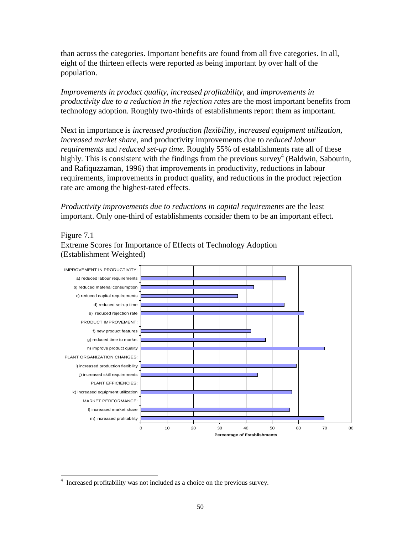than across the categories. Important benefits are found from all five categories. In all, eight of the thirteen effects were reported as being important by over half of the population.

*Improvements in product quality*, *increased profitability*, and *improvements in productivity due to a reduction in the rejection rates* are the most important benefits from technology adoption. Roughly two-thirds of establishments report them as important.

Next in importance is *increased production flexibility*, *increased equipment utilization*, *increased market share*, and productivity improvements due to *reduced labour requirements* and *reduced set-up time*. Roughly 55% of establishments rate all of these highly. This is consistent with the findings from the previous survey<sup>4</sup> (Baldwin, Sabourin, and Rafiquzzaman, 1996) that improvements in productivity, reductions in labour requirements, improvements in product quality, and reductions in the product rejection rate are among the highest-rated effects.

*Productivity improvements due to reductions in capital requirements* are the least important. Only one-third of establishments consider them to be an important effect.

### Figure 7.1

Extreme Scores for Importance of Effects of Technology Adoption (Establishment Weighted)



 $\overline{a}$ 4 Increased profitability was not included as a choice on the previous survey.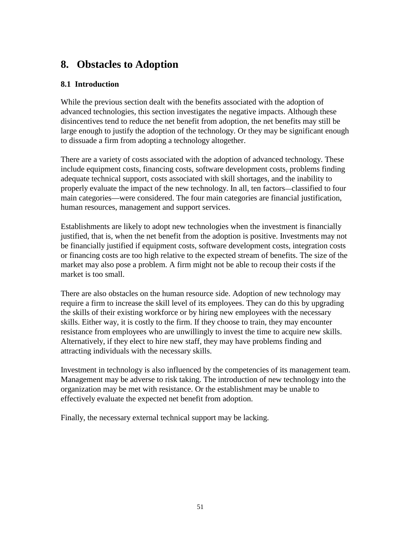## **8. Obstacles to Adoption**

### **8.1 Introduction**

While the previous section dealt with the benefits associated with the adoption of advanced technologies, this section investigates the negative impacts. Although these disincentives tend to reduce the net benefit from adoption, the net benefits may still be large enough to justify the adoption of the technology. Or they may be significant enough to dissuade a firm from adopting a technology altogether.

There are a variety of costs associated with the adoption of advanced technology. These include equipment costs, financing costs, software development costs, problems finding adequate technical support, costs associated with skill shortages, and the inability to properly evaluate the impact of the new technology. In all, ten factors—classified to four main categories—were considered. The four main categories are financial justification, human resources, management and support services.

Establishments are likely to adopt new technologies when the investment is financially justified, that is, when the net benefit from the adoption is positive. Investments may not be financially justified if equipment costs, software development costs, integration costs or financing costs are too high relative to the expected stream of benefits. The size of the market may also pose a problem. A firm might not be able to recoup their costs if the market is too small.

There are also obstacles on the human resource side. Adoption of new technology may require a firm to increase the skill level of its employees. They can do this by upgrading the skills of their existing workforce or by hiring new employees with the necessary skills. Either way, it is costly to the firm. If they choose to train, they may encounter resistance from employees who are unwillingly to invest the time to acquire new skills. Alternatively, if they elect to hire new staff, they may have problems finding and attracting individuals with the necessary skills.

Investment in technology is also influenced by the competencies of its management team. Management may be adverse to risk taking. The introduction of new technology into the organization may be met with resistance. Or the establishment may be unable to effectively evaluate the expected net benefit from adoption.

Finally, the necessary external technical support may be lacking.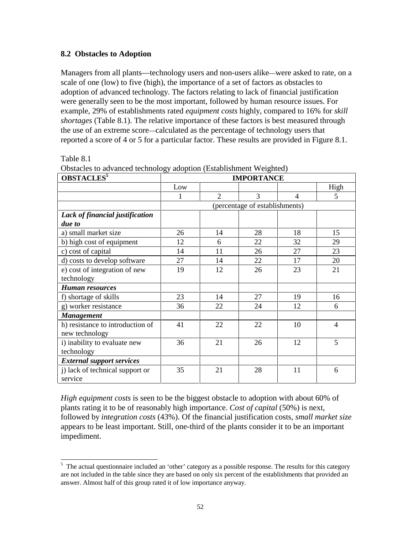### **8.2 Obstacles to Adoption**

Managers from all plants—technology users and non-users alike—were asked to rate, on a scale of one (low) to five (high), the importance of a set of factors as obstacles to adoption of advanced technology. The factors relating to lack of financial justification were generally seen to be the most important, followed by human resource issues. For example, 29% of establishments rated *equipment costs* highly, compared to 16% for *skill shortages* (Table 8.1). The relative importance of these factors is best measured through the use of an extreme score—calculated as the percentage of technology users that reported a score of 4 or 5 for a particular factor. These results are provided in Figure 8.1.

Table 8.1

| OBSTACLES <sup>5</sup>           | <b>IMPORTANCE</b> |                |                                |    |                |
|----------------------------------|-------------------|----------------|--------------------------------|----|----------------|
|                                  | Low               |                |                                |    | High           |
|                                  | 1                 | $\overline{2}$ | 3                              | 4  | 5              |
|                                  |                   |                | (percentage of establishments) |    |                |
| Lack of financial justification  |                   |                |                                |    |                |
| due to                           |                   |                |                                |    |                |
| a) small market size             | 26                | 14             | 28                             | 18 | 15             |
| b) high cost of equipment        | 12                | 6              | 22                             | 32 | 29             |
| c) cost of capital               | 14                | 11             | 26                             | 27 | 23             |
| d) costs to develop software     | 27                | 14             | 22                             | 17 | 20             |
| e) cost of integration of new    | 19                | 12             | 26                             | 23 | 21             |
| technology                       |                   |                |                                |    |                |
| <b>Human resources</b>           |                   |                |                                |    |                |
| f) shortage of skills            | 23                | 14             | 27                             | 19 | 16             |
| g) worker resistance             | 36                | 22             | 24                             | 12 | 6              |
| <b>Management</b>                |                   |                |                                |    |                |
| h) resistance to introduction of | 41                | 22             | 22                             | 10 | $\overline{4}$ |
| new technology                   |                   |                |                                |    |                |
| i) inability to evaluate new     | 36                | 21             | 26                             | 12 | 5              |
| technology                       |                   |                |                                |    |                |
| <b>External support services</b> |                   |                |                                |    |                |
| j) lack of technical support or  | 35                | 21             | 28                             | 11 | 6              |
| service                          |                   |                |                                |    |                |

Obstacles to advanced technology adoption (Establishment Weighted)

*High equipment costs* is seen to be the biggest obstacle to adoption with about 60% of plants rating it to be of reasonably high importance. *Cost of capital* (50%) is next, followed by *integration costs* (43%). Of the financial justification costs, *small market size* appears to be least important. Still, one-third of the plants consider it to be an important impediment.

<sup>&</sup>lt;sup>5</sup> The actual questionnaire included an 'other' category as a possible response. The results for this category are not included in the table since they are based on only six percent of the establishments that provided an answer. Almost half of this group rated it of low importance anyway.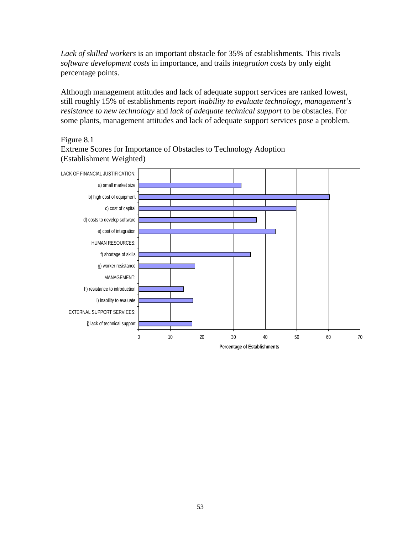*Lack of skilled workers* is an important obstacle for 35% of establishments. This rivals *software development costs* in importance, and trails *integration costs* by only eight percentage points.

Although management attitudes and lack of adequate support services are ranked lowest, still roughly 15% of establishments report *inability to evaluate technology, management's resistance to new technology* and *lack of adequate technical support* to be obstacles. For some plants, management attitudes and lack of adequate support services pose a problem.

### Figure 8.1

Extreme Scores for Importance of Obstacles to Technology Adoption (Establishment Weighted)

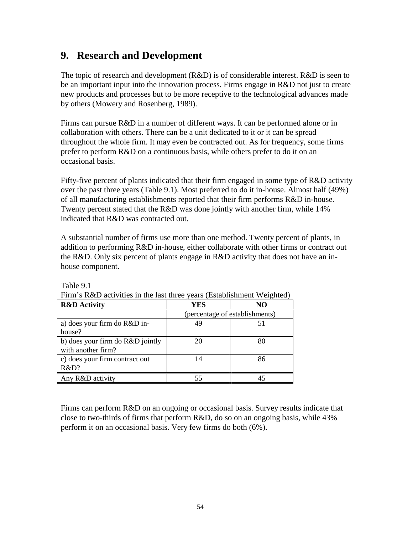## **9. Research and Development**

The topic of research and development  $(R&D)$  is of considerable interest.  $R&D$  is seen to be an important input into the innovation process. Firms engage in R&D not just to create new products and processes but to be more receptive to the technological advances made by others (Mowery and Rosenberg, 1989).

Firms can pursue R&D in a number of different ways. It can be performed alone or in collaboration with others. There can be a unit dedicated to it or it can be spread throughout the whole firm. It may even be contracted out. As for frequency, some firms prefer to perform R&D on a continuous basis, while others prefer to do it on an occasional basis.

Fifty-five percent of plants indicated that their firm engaged in some type of R&D activity over the past three years (Table 9.1). Most preferred to do it in-house. Almost half (49%) of all manufacturing establishments reported that their firm performs R&D in-house. Twenty percent stated that the R&D was done jointly with another firm, while 14% indicated that R&D was contracted out.

A substantial number of firms use more than one method. Twenty percent of plants, in addition to performing R&D in-house, either collaborate with other firms or contract out the R&D. Only six percent of plants engage in R&D activity that does not have an inhouse component.

| <b>R&amp;D</b> Activity          | <b>YES</b>                     | NO. |
|----------------------------------|--------------------------------|-----|
|                                  | (percentage of establishments) |     |
| a) does your firm do R&D in-     | 49                             | 51  |
| house?                           |                                |     |
| b) does your firm do R&D jointly | 20                             | 80  |
| with another firm?               |                                |     |
| c) does your firm contract out   | 14                             | 86  |
| R&D?                             |                                |     |
| Any R&D activity                 |                                |     |

Table 9.1

Firm's R&D activities in the last three years (Establishment Weighted)

Firms can perform R&D on an ongoing or occasional basis. Survey results indicate that close to two-thirds of firms that perform R&D, do so on an ongoing basis, while 43% perform it on an occasional basis. Very few firms do both (6%).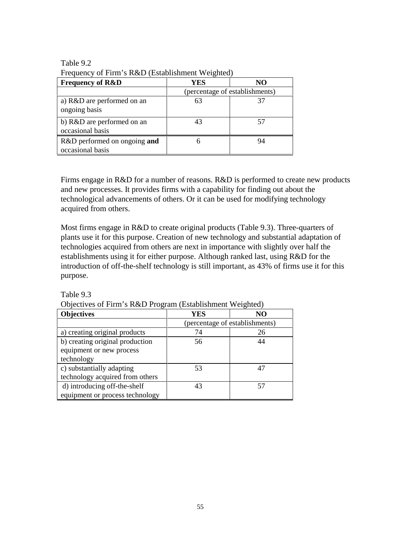| <b>Frequency of R&amp;D</b>                      | YES | NO.                            |
|--------------------------------------------------|-----|--------------------------------|
|                                                  |     | (percentage of establishments) |
| a) R&D are performed on an<br>ongoing basis      | 63  |                                |
| b) R&D are performed on an<br>occasional basis   | 43  |                                |
| R&D performed on ongoing and<br>occasional basis | h   | 94                             |

Table 9.2 Frequency of Firm's  $R&D$  (Establishment Weighted)

Firms engage in R&D for a number of reasons. R&D is performed to create new products and new processes. It provides firms with a capability for finding out about the technological advancements of others. Or it can be used for modifying technology acquired from others.

Most firms engage in R&D to create original products (Table 9.3). Three-quarters of plants use it for this purpose. Creation of new technology and substantial adaptation of technologies acquired from others are next in importance with slightly over half the establishments using it for either purpose. Although ranked last, using R&D for the introduction of off-the-shelf technology is still important, as 43% of firms use it for this purpose.

| Objectives of I times K&D I rogram (Establishment Weighteu) |                                |    |  |
|-------------------------------------------------------------|--------------------------------|----|--|
| <b>Objectives</b>                                           | YES                            | NO |  |
|                                                             | (percentage of establishments) |    |  |
| a) creating original products                               | 74                             | 26 |  |
| b) creating original production                             | 56                             | 44 |  |
| equipment or new process                                    |                                |    |  |
| technology                                                  |                                |    |  |
| c) substantially adapting                                   | 53                             | 47 |  |
| technology acquired from others                             |                                |    |  |
| d) introducing off-the-shelf                                | 43                             | 57 |  |
| equipment or process technology                             |                                |    |  |

Objectives of Firm's R&D Program (Establishment Weighted)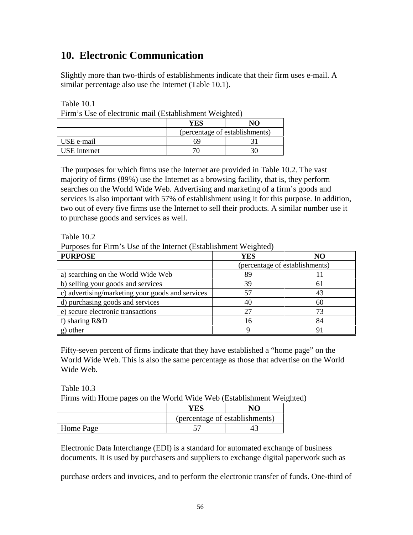## **10. Electronic Communication**

Slightly more than two-thirds of establishments indicate that their firm uses e-mail. A similar percentage also use the Internet (Table 10.1).

Table 10.1

|  |  | Firm's Use of electronic mail (Establishment Weighted) |  |
|--|--|--------------------------------------------------------|--|
|--|--|--------------------------------------------------------|--|

|              | YES | N <sub>O</sub>                 |
|--------------|-----|--------------------------------|
|              |     | (percentage of establishments) |
| USE e-mail   | 69  |                                |
| USE Internet |     |                                |

The purposes for which firms use the Internet are provided in Table 10.2. The vast majority of firms (89%) use the Internet as a browsing facility, that is, they perform searches on the World Wide Web. Advertising and marketing of a firm's goods and services is also important with 57% of establishment using it for this purpose. In addition, two out of every five firms use the Internet to sell their products. A similar number use it to purchase goods and services as well.

Table 10.2

Purposes for Firm's Use of the Internet (Establishment Weighted)

| <b>PURPOSE</b>                                   | YES | NO                             |
|--------------------------------------------------|-----|--------------------------------|
|                                                  |     | (percentage of establishments) |
| a) searching on the World Wide Web               | 89  |                                |
| b) selling your goods and services               | 39  | 61                             |
| c) advertising/marketing your goods and services | 57  | 43                             |
| d) purchasing goods and services                 | 40  | 60                             |
| e) secure electronic transactions                | 27  | 73                             |
| f) sharing $R&D$                                 | 16  | 84                             |
| g) other                                         | Q   |                                |

Fifty-seven percent of firms indicate that they have established a "home page" on the World Wide Web. This is also the same percentage as those that advertise on the World Wide Web.

Table 10.3

Firms with Home pages on the World Wide Web (Establishment Weighted)

|           | YES                            | NΛ |  |
|-----------|--------------------------------|----|--|
|           | (percentage of establishments) |    |  |
| Home Page |                                |    |  |

Electronic Data Interchange (EDI) is a standard for automated exchange of business documents. It is used by purchasers and suppliers to exchange digital paperwork such as

purchase orders and invoices, and to perform the electronic transfer of funds. One-third of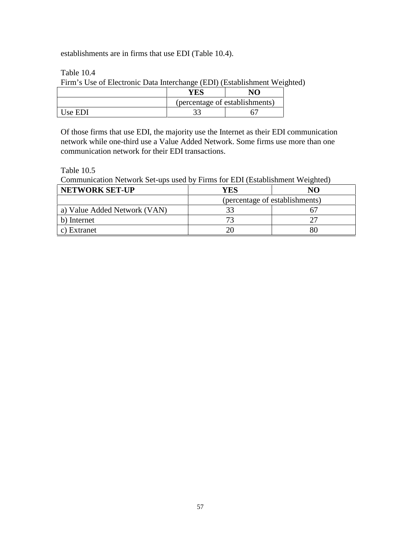establishments are in firms that use EDI (Table 10.4).

Table 10.4

Firm's Use of Electronic Data Interchange (EDI) (Establishment Weighted)

|          |                                | N1 |  |
|----------|--------------------------------|----|--|
|          | (percentage of establishments) |    |  |
| ' ke FDL |                                |    |  |

Of those firms that use EDI, the majority use the Internet as their EDI communication network while one-third use a Value Added Network. Some firms use more than one communication network for their EDI transactions.

Table 10.5

Communication Network Set-ups used by Firms for EDI (Establishment Weighted)

| <b>NETWORK SET-UP</b>        | YES | NO                             |
|------------------------------|-----|--------------------------------|
|                              |     | (percentage of establishments) |
| a) Value Added Network (VAN) |     |                                |
| b) Internet                  |     |                                |
| c) Extranet                  |     |                                |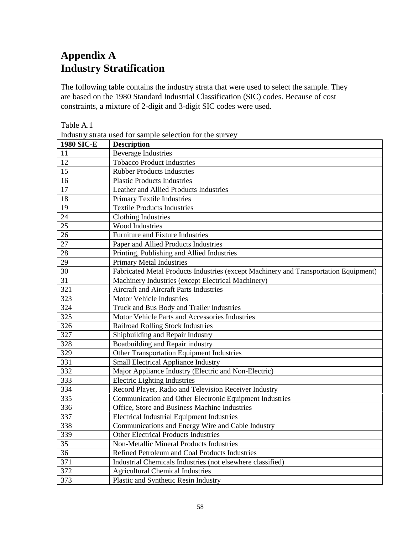# **Appendix A Industry Stratification**

The following table contains the industry strata that were used to select the sample. They are based on the 1980 Standard Industrial Classification (SIC) codes. Because of cost constraints, a mixture of 2-digit and 3-digit SIC codes were used.

| <b>1980 SIC-E</b> | <b>Description</b>                                                                   |
|-------------------|--------------------------------------------------------------------------------------|
| 11                | <b>Beverage Industries</b>                                                           |
| 12                | <b>Tobacco Product Industries</b>                                                    |
| 15                | <b>Rubber Products Industries</b>                                                    |
| 16                | <b>Plastic Products Industries</b>                                                   |
| 17                | Leather and Allied Products Industries                                               |
| 18                | <b>Primary Textile Industries</b>                                                    |
| 19                | <b>Textile Products Industries</b>                                                   |
| 24                | <b>Clothing Industries</b>                                                           |
| 25                | Wood Industries                                                                      |
| 26                | Furniture and Fixture Industries                                                     |
| 27                | Paper and Allied Products Industries                                                 |
| 28                | Printing, Publishing and Allied Industries                                           |
| 29                | <b>Primary Metal Industries</b>                                                      |
| 30                | Fabricated Metal Products Industries (except Machinery and Transportation Equipment) |
| 31                | Machinery Industries (except Electrical Machinery)                                   |
| 321               | Aircraft and Aircraft Parts Industries                                               |
| 323               | Motor Vehicle Industries                                                             |
| 324               | Truck and Bus Body and Trailer Industries                                            |
| 325               | Motor Vehicle Parts and Accessories Industries                                       |
| 326               | <b>Railroad Rolling Stock Industries</b>                                             |
| 327               | Shipbuilding and Repair Industry                                                     |
| 328               | Boatbuilding and Repair industry                                                     |
| 329               | Other Transportation Equipment Industries                                            |
| 331               | <b>Small Electrical Appliance Industry</b>                                           |
| 332               | Major Appliance Industry (Electric and Non-Electric)                                 |
| 333               | <b>Electric Lighting Industries</b>                                                  |
| 334               | Record Player, Radio and Television Receiver Industry                                |
| 335               | Communication and Other Electronic Equipment Industries                              |
| 336               | Office, Store and Business Machine Industries                                        |
| 337               | <b>Electrical Industrial Equipment Industries</b>                                    |
| 338               | Communications and Energy Wire and Cable Industry                                    |
| 339               | <b>Other Electrical Products Industries</b>                                          |
| 35                | Non-Metallic Mineral Products Industries                                             |
| 36                | Refined Petroleum and Coal Products Industries                                       |
| 371               | Industrial Chemicals Industries (not elsewhere classified)                           |
| 372               | <b>Agricultural Chemical Industries</b>                                              |
| 373               | Plastic and Synthetic Resin Industry                                                 |

Table A.1 Industry strata used for sample selection for the survey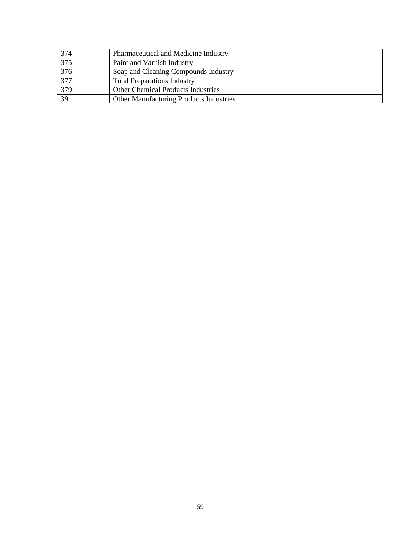| 374 | Pharmaceutical and Medicine Industry      |
|-----|-------------------------------------------|
| 375 | Paint and Varnish Industry                |
| 376 | Soap and Cleaning Compounds Industry      |
| 377 | <b>Total Preparations Industry</b>        |
| 379 | <b>Other Chemical Products Industries</b> |
| 39  | Other Manufacturing Products Industries   |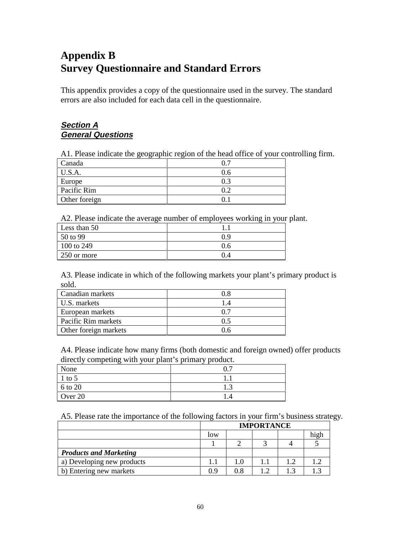# **Appendix B Survey Questionnaire and Standard Errors**

This appendix provides a copy of the questionnaire used in the survey. The standard errors are also included for each data cell in the questionnaire.

### **Section A General Questions**

A1. Please indicate the geographic region of the head office of your controlling firm.

| Canada        |     |
|---------------|-----|
| U.S.A.        | 0.6 |
| Europe        | 0.3 |
| Pacific Rim   |     |
| Other foreign |     |

A2. Please indicate the average number of employees working in your plant.

| Less than 50 |     |
|--------------|-----|
| 50 to 99     | 0.9 |
| 100 to 249   | 0.6 |
| 250 or more  | 0.4 |

A3. Please indicate in which of the following markets your plant's primary product is sold.

| Canadian markets      | 08  |
|-----------------------|-----|
| U.S. markets          |     |
| European markets      | 0.7 |
| Pacific Rim markets   | 05  |
| Other foreign markets | 0 6 |

A4. Please indicate how many firms (both domestic and foreign owned) offer products directly competing with your plant's primary product.

| . .<br>None | ∩ ¬           |
|-------------|---------------|
| $1$ to 5    |               |
| 6 to 20     | $\sim$<br>1.J |
| Over 20     | .4            |

A5. Please rate the importance of the following factors in your firm's business strategy.

|                               | <b>IMPORTANCE</b> |     |  |  |      |  |
|-------------------------------|-------------------|-----|--|--|------|--|
|                               | low               |     |  |  | high |  |
|                               |                   |     |  |  |      |  |
| <b>Products and Marketing</b> |                   |     |  |  |      |  |
| a) Developing new products    |                   | 1.0 |  |  |      |  |
| b) Entering new markets       | 0.9               | 0.8 |  |  |      |  |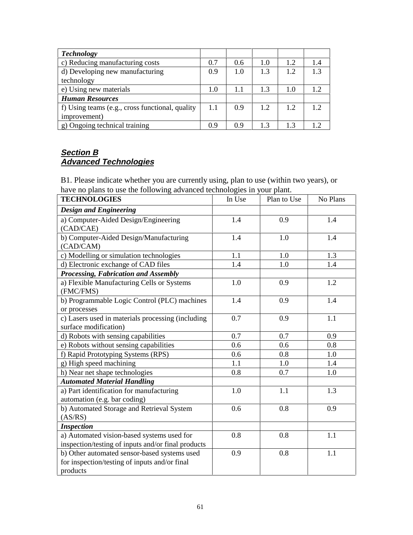| <b>Technology</b>                               |     |     |     |     |     |
|-------------------------------------------------|-----|-----|-----|-----|-----|
| c) Reducing manufacturing costs                 |     | 0.6 | 1.0 | 1.2 | 1.4 |
| d) Developing new manufacturing                 |     | 1.0 | 1.3 | 1.2 | 13  |
| technology                                      |     |     |     |     |     |
| e) Using new materials                          |     | 1.1 | 13  | 1.0 | 12  |
| <b>Human Resources</b>                          |     |     |     |     |     |
| f) Using teams (e.g., cross functional, quality | 1.1 | 0.9 | 12  | 12  | 12  |
| improvement)                                    |     |     |     |     |     |
| g) Ongoing technical training                   | 09  | 09  | 13  | 13  |     |

## **Section B Advanced Technologies**

B1. Please indicate whether you are currently using, plan to use (within two years), or have no plans to use the following advanced technologies in your plant.

| <b>TECHNOLOGIES</b>                                                                                       | In Use | Plan to Use | No Plans |
|-----------------------------------------------------------------------------------------------------------|--------|-------------|----------|
| <b>Design and Engineering</b>                                                                             |        |             |          |
| a) Computer-Aided Design/Engineering<br>(CAD/CAE)                                                         | 1.4    | 0.9         | 1.4      |
| b) Computer-Aided Design/Manufacturing<br>(CAD/CAM)                                                       | 1.4    | 1.0         | 1.4      |
| c) Modelling or simulation technologies                                                                   | 1.1    | 1.0         | 1.3      |
| d) Electronic exchange of CAD files                                                                       | 1.4    | 1.0         | 1.4      |
| Processing, Fabrication and Assembly                                                                      |        |             |          |
| a) Flexible Manufacturing Cells or Systems<br>(FMC/FMS)                                                   | 1.0    | 0.9         | 1.2      |
| b) Programmable Logic Control (PLC) machines<br>or processes                                              | 1.4    | 0.9         | 1.4      |
| c) Lasers used in materials processing (including<br>surface modification)                                | 0.7    | 0.9         | 1.1      |
| d) Robots with sensing capabilities                                                                       | 0.7    | 0.7         | 0.9      |
| e) Robots without sensing capabilities                                                                    | 0.6    | 0.6         | 0.8      |
| f) Rapid Prototyping Systems (RPS)                                                                        | 0.6    | 0.8         | 1.0      |
| g) High speed machining                                                                                   | 1.1    | 1.0         | 1.4      |
| h) Near net shape technologies                                                                            | 0.8    | 0.7         | 1.0      |
| <b>Automated Material Handling</b>                                                                        |        |             |          |
| a) Part identification for manufacturing<br>automation (e.g. bar coding)                                  | 1.0    | 1.1         | 1.3      |
| b) Automated Storage and Retrieval System<br>(AS/RS)                                                      | 0.6    | 0.8         | 0.9      |
| <b>Inspection</b>                                                                                         |        |             |          |
| a) Automated vision-based systems used for<br>inspection/testing of inputs and/or final products          | 0.8    | 0.8         | 1.1      |
| b) Other automated sensor-based systems used<br>for inspection/testing of inputs and/or final<br>products | 0.9    | 0.8         | 1.1      |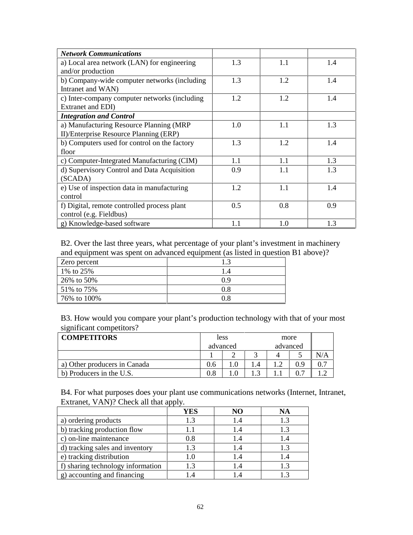| <b>Network Communications</b>                 |     |     |     |
|-----------------------------------------------|-----|-----|-----|
| a) Local area network (LAN) for engineering   | 1.3 | 1.1 | 1.4 |
| and/or production                             |     |     |     |
| b) Company-wide computer networks (including  | 1.3 | 1.2 | 1.4 |
| Intranet and WAN)                             |     |     |     |
| c) Inter-company computer networks (including | 1.2 | 1.2 | 1.4 |
| Extranet and EDI)                             |     |     |     |
| <b>Integration and Control</b>                |     |     |     |
| a) Manufacturing Resource Planning (MRP       | 1.0 | 1.1 | 1.3 |
| II)/Enterprise Resource Planning (ERP)        |     |     |     |
| b) Computers used for control on the factory  | 1.3 | 1.2 | 1.4 |
| floor                                         |     |     |     |
| c) Computer-Integrated Manufacturing (CIM)    | 1.1 | 1.1 | 1.3 |
| d) Supervisory Control and Data Acquisition   | 0.9 | 1.1 | 1.3 |
| (SCADA)                                       |     |     |     |
| e) Use of inspection data in manufacturing    | 1.2 | 1.1 | 1.4 |
| control                                       |     |     |     |
| f) Digital, remote controlled process plant   | 0.5 | 0.8 | 0.9 |
| control (e.g. Fieldbus)                       |     |     |     |
| g) Knowledge-based software                   | 1.1 | 1.0 | 1.3 |

B2. Over the last three years, what percentage of your plant's investment in machinery and equipment was spent on advanced equipment (as listed in question B1 above)?

| Zero percent | 1.3 |
|--------------|-----|
| 1% to 25%    | 1.4 |
| 26% to 50%   | 09  |
| 51\% to 75\% | 0.8 |
| 76% to 100%  | 0.8 |

B3. How would you compare your plant's production technology with that of your most significant competitors?

| <b>COMPETITORS</b>           |           | less |          |  | more |     |  |
|------------------------------|-----------|------|----------|--|------|-----|--|
|                              | advanced  |      | advanced |  |      |     |  |
|                              |           |      |          |  |      | N/A |  |
| a) Other producers in Canada | 0.6       |      |          |  |      |     |  |
| b) Producers in the U.S.     | $\rm 0.8$ |      |          |  |      |     |  |

B4. For what purposes does your plant use communications networks (Internet, Intranet, Extranet, VAN)? Check all that apply.

|                                   | .<br>YES | NO  | NA  |
|-----------------------------------|----------|-----|-----|
| a) ordering products              | 1.3      | 1.4 | 1.3 |
| b) tracking production flow       |          | 1.4 | 1.3 |
| c) on-line maintenance            | 0.8      | 1.4 | 1.4 |
| d) tracking sales and inventory   | 1.3      | 1.4 | 1.3 |
| e) tracking distribution          |          | 1.4 | 1.4 |
| f) sharing technology information | 13       | 1.4 | 1.3 |
| g) accounting and financing       |          |     |     |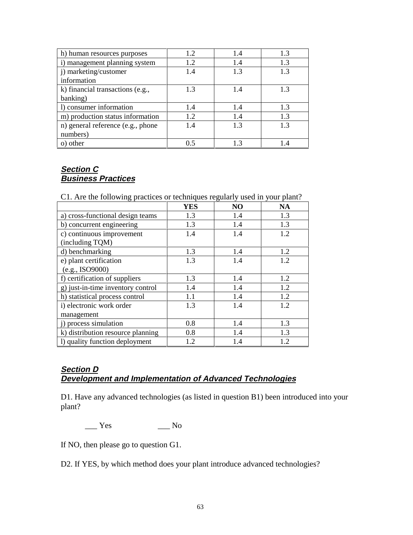| h) human resources purposes       | 1.2 | 1.4 | 1.3 |
|-----------------------------------|-----|-----|-----|
| i) management planning system     | 1.2 | 1.4 | 1.3 |
| i) marketing/customer             | 1.4 | 1.3 | 1.3 |
| information                       |     |     |     |
| k) financial transactions (e.g.,  | 1.3 | 1.4 | 1.3 |
| banking)                          |     |     |     |
| 1) consumer information           | 1.4 | 1.4 | 1.3 |
| m) production status information  | 1.2 | 1.4 | 1.3 |
| n) general reference (e.g., phone | 1.4 | 1.3 | 1.3 |
| numbers)                          |     |     |     |
| o) other                          | 0.5 | 1.3 | 1.4 |

## **Section C Business Practices**

C1. Are the following practices or techniques regularly used in your plant?

|                                   | <b>YES</b> | N <sub>O</sub> | <b>NA</b> |
|-----------------------------------|------------|----------------|-----------|
| a) cross-functional design teams  | 1.3        | 1.4            | 1.3       |
| b) concurrent engineering         | 1.3        | 1.4            | 1.3       |
| c) continuous improvement         | 1.4        | 1.4            | 1.2       |
| (including TQM)                   |            |                |           |
| d) benchmarking                   | 1.3        | 1.4            | 1.2       |
| e) plant certification            | 1.3        | 1.4            | 1.2       |
| (e.g., ISO9000)                   |            |                |           |
| f) certification of suppliers     | 1.3        | 1.4            | 1.2       |
| g) just-in-time inventory control | 1.4        | 1.4            | 1.2       |
| h) statistical process control    | 1.1        | 1.4            | 1.2       |
| i) electronic work order          | 1.3        | 1.4            | 1.2       |
| management                        |            |                |           |
| i) process simulation             | 0.8        | 1.4            | 1.3       |
| k) distribution resource planning | 0.8        | 1.4            | 1.3       |
| 1) quality function deployment    | 1.2        | 1.4            | 1.2       |

## **Section D**

## **Development and Implementation of Advanced Technologies**

D1. Have any advanced technologies (as listed in question B1) been introduced into your plant?

 $\frac{1}{\sqrt{1 - \frac{1}{\sqrt{1 + \frac{1}{\sqrt{1 + \frac{1}{\sqrt{1 + \frac{1}{\sqrt{1 + \frac{1}{\sqrt{1 + \frac{1}{\sqrt{1 + \frac{1}{\sqrt{1 + \frac{1}{\sqrt{1 + \frac{1}{\sqrt{1 + \frac{1}{\sqrt{1 + \frac{1}{\sqrt{1 + \frac{1}{\sqrt{1 + \frac{1}{\sqrt{1 + \frac{1}{\sqrt{1 + \frac{1}{\sqrt{1 + \frac{1}{\sqrt{1 + \frac{1}{\sqrt{1 + \frac{1}{\sqrt{1 + \frac{1}{\sqrt{1 + \frac{1}{\sqrt{1 + \frac{1}{\sqrt{1 +$ 

If NO, then please go to question G1.

D2. If YES, by which method does your plant introduce advanced technologies?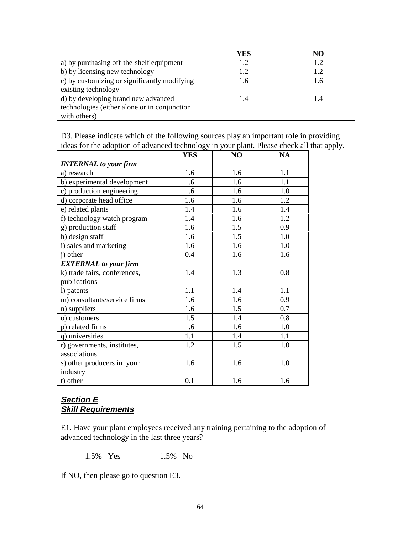|                                              | YES | NO  |
|----------------------------------------------|-----|-----|
| a) by purchasing off-the-shelf equipment     | 1.2 |     |
| b) by licensing new technology               | 1.2 | 1.2 |
| c) by customizing or significantly modifying | 1.6 | 1.6 |
| existing technology                          |     |     |
| d) by developing brand new advanced          |     |     |
| technologies (either alone or in conjunction |     |     |
| with others)                                 |     |     |

D3. Please indicate which of the following sources play an important role in providing ideas for the adoption of advanced technology in your plant. Please check all that apply.

|                              | <b>YES</b> | N <sub>O</sub> | <b>NA</b> |
|------------------------------|------------|----------------|-----------|
| <b>INTERNAL</b> to your firm |            |                |           |
| a) research                  | 1.6        | 1.6            | 1.1       |
| b) experimental development  | 1.6        | 1.6            | 1.1       |
| c) production engineering    | 1.6        | 1.6            | 1.0       |
| d) corporate head office     | 1.6        | 1.6            | 1.2       |
| e) related plants            | 1.4        | 1.6            | 1.4       |
| f) technology watch program  | 1.4        | 1.6            | 1.2       |
| g) production staff          | 1.6        | 1.5            | 0.9       |
| h) design staff              | 1.6        | 1.5            | 1.0       |
| i) sales and marketing       | 1.6        | 1.6            | 1.0       |
| i) other                     | 0.4        | 1.6            | 1.6       |
| <b>EXTERNAL</b> to your firm |            |                |           |
| k) trade fairs, conferences, | 1.4        | 1.3            | 0.8       |
| publications                 |            |                |           |
| 1) patents                   | 1.1        | 1.4            | 1.1       |
| m) consultants/service firms | 1.6        | 1.6            | 0.9       |
| n) suppliers                 | 1.6        | 1.5            | 0.7       |
| o) customers                 | 1.5        | 1.4            | 0.8       |
| p) related firms             | 1.6        | 1.6            | 1.0       |
| q) universities              | 1.1        | 1.4            | 1.1       |
| r) governments, institutes,  | 1.2        | 1.5            | 1.0       |
| associations                 |            |                |           |
| s) other producers in your   | 1.6        | 1.6            | 1.0       |
| industry                     |            |                |           |
| t) other                     | 0.1        | 1.6            | 1.6       |

## **Section E Skill Requirements**

E1. Have your plant employees received any training pertaining to the adoption of advanced technology in the last three years?

1.5% Yes 1.5% No

If NO, then please go to question E3.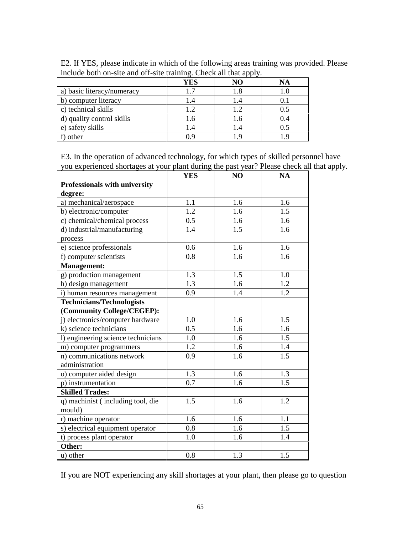|                            | YES | NO        | NA  |
|----------------------------|-----|-----------|-----|
| a) basic literacy/numeracy | 1.7 | 1.8       | 1.0 |
| b) computer literacy       | l.4 | I .4      |     |
| c) technical skills        | 1.2 | 1.2       | 0.5 |
| d) quality control skills  | 1.6 | 1.6       | 0.4 |
| e) safety skills           | .4  | $\cdot^4$ | 0.5 |
| other                      | 9 ( | - Q       |     |

E2. If YES, please indicate in which of the following areas training was provided. Please include both on-site and off-site training. Check all that apply.

E3. In the operation of advanced technology, for which types of skilled personnel have you experienced shortages at your plant during the past year? Please check all that apply.

|                                    | <b>YES</b> | N <sub>O</sub> | <b>NA</b>        |
|------------------------------------|------------|----------------|------------------|
| Professionals with university      |            |                |                  |
| degree:                            |            |                |                  |
| a) mechanical/aerospace            | 1.1        | 1.6            | 1.6              |
| b) electronic/computer             | 1.2        | 1.6            | 1.5              |
| c) chemical/chemical process       | 0.5        | 1.6            | 1.6              |
| d) industrial/manufacturing        | 1.4        | 1.5            | 1.6              |
| process                            |            |                |                  |
| e) science professionals           | 0.6        | 1.6            | 1.6              |
| f) computer scientists             | 0.8        | 1.6            | 1.6              |
| <b>Management:</b>                 |            |                |                  |
| g) production management           | 1.3        | 1.5            | 1.0              |
| h) design management               | 1.3        | 1.6            | 1.2              |
| i) human resources management      | 0.9        | 1.4            | 1.2              |
| <b>Technicians/Technologists</b>   |            |                |                  |
| (Community College/CEGEP):         |            |                |                  |
| j) electronics/computer hardware   | 1.0        | 1.6            | 1.5              |
| k) science technicians             | 0.5        | 1.6            | 1.6              |
| 1) engineering science technicians | 1.0        | 1.6            | 1.5              |
| m) computer programmers            | 1.2        | 1.6            | 1.4              |
| n) communications network          | 0.9        | 1.6            | $\overline{1.5}$ |
| administration                     |            |                |                  |
| o) computer aided design           | 1.3        | 1.6            | 1.3              |
| p) instrumentation                 | 0.7        | 1.6            | 1.5              |
| <b>Skilled Trades:</b>             |            |                |                  |
| q) machinist (including tool, die  | 1.5        | 1.6            | 1.2              |
| mould)                             |            |                |                  |
| r) machine operator                | 1.6        | 1.6            | 1.1              |
| s) electrical equipment operator   | 0.8        | 1.6            | 1.5              |
| t) process plant operator          | 1.0        | 1.6            | 1.4              |
| Other:                             |            |                |                  |
| u) other                           | 0.8        | 1.3            | 1.5              |

If you are NOT experiencing any skill shortages at your plant, then please go to question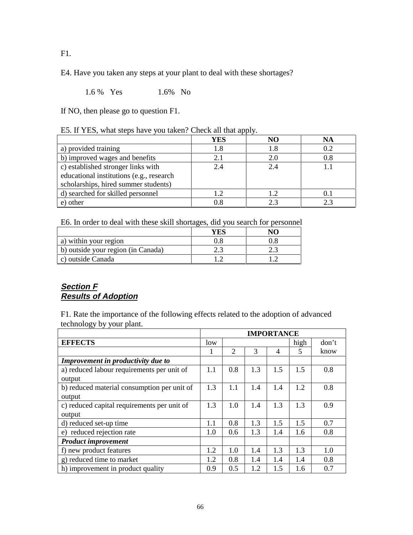F1.

E4. Have you taken any steps at your plant to deal with these shortages?

1.6% Yes 1.6% No

If NO, then please go to question F1.

|  |  |  |  |  |  | E5. If YES, what steps have you taken? Check all that apply. |
|--|--|--|--|--|--|--------------------------------------------------------------|
|--|--|--|--|--|--|--------------------------------------------------------------|

|                                          | YES | NO  | <b>NA</b> |
|------------------------------------------|-----|-----|-----------|
| a) provided training                     | 1.8 | 1.8 | 0.2       |
| b) improved wages and benefits           | 2.1 | 2.0 | $0.8\,$   |
| c) established stronger links with       | 2.4 | 2.4 |           |
| educational institutions (e.g., research |     |     |           |
| scholarships, hired summer students)     |     |     |           |
| d) searched for skilled personnel        | 12  | 1.2 |           |
| e) other                                 | 0.8 | 2.3 | 23        |

E6. In order to deal with these skill shortages, did you search for personnel

|                                    | YES. | NО |
|------------------------------------|------|----|
| a) within your region              |      |    |
| b) outside your region (in Canada) |      |    |
| c) outside Canada                  |      |    |

## **Section F Results of Adoption**

F1. Rate the importance of the following effects related to the adoption of advanced technology by your plant.

|                                             | <b>IMPORTANCE</b> |                |     |     |      |       |
|---------------------------------------------|-------------------|----------------|-----|-----|------|-------|
| <b>EFFECTS</b>                              | low               |                |     |     | high | don't |
|                                             | 1                 | $\overline{2}$ | 3   | 4   | 5    | know  |
| Improvement in productivity due to          |                   |                |     |     |      |       |
| a) reduced labour requirements per unit of  | 1.1               | 0.8            | 1.3 | 1.5 | 1.5  | 0.8   |
| output                                      |                   |                |     |     |      |       |
| b) reduced material consumption per unit of | 1.3               | 1.1            | 1.4 | 1.4 | 1.2  | 0.8   |
| output                                      |                   |                |     |     |      |       |
| c) reduced capital requirements per unit of | 1.3               | 1.0            | 1.4 | 1.3 | 1.3  | 0.9   |
| output                                      |                   |                |     |     |      |       |
| d) reduced set-up time                      | 1.1               | 0.8            | 1.3 | 1.5 | 1.5  | 0.7   |
| e) reduced rejection rate                   | 1.0               | 0.6            | 1.3 | 1.4 | 1.6  | 0.8   |
| <b>Product improvement</b>                  |                   |                |     |     |      |       |
| f) new product features                     | 1.2               | 1.0            | 1.4 | 1.3 | 1.3  | 1.0   |
| g) reduced time to market                   | 1.2               | 0.8            | 1.4 | 1.4 | 1.4  | 0.8   |
| h) improvement in product quality           | 0.9               | 0.5            | 1.2 | 1.5 | 1.6  | 0.7   |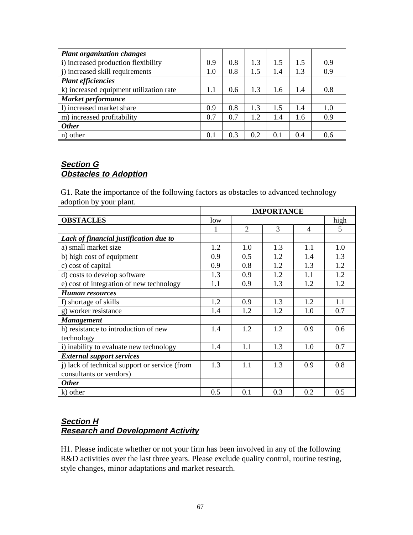| <b>Plant organization changes</b>       |     |     |     |     |     |     |
|-----------------------------------------|-----|-----|-----|-----|-----|-----|
| i) increased production flexibility     | 0.9 | 0.8 | 1.3 | 1.5 | 1.5 | 0.9 |
| i) increased skill requirements         | 1.0 | 0.8 | 1.5 | 1.4 | 1.3 | 0.9 |
| <b>Plant efficiencies</b>               |     |     |     |     |     |     |
| k) increased equipment utilization rate | 1.1 | 0.6 | 1.3 | 1.6 | 1.4 | 0.8 |
| <b>Market performance</b>               |     |     |     |     |     |     |
| 1) increased market share               | 0.9 | 0.8 | 1.3 | 1.5 | 1.4 | 1.0 |
| m) increased profitability              | 0.7 | 0.7 | 1.2 | 1.4 | 1.6 | 0.9 |
| <b>Other</b>                            |     |     |     |     |     |     |
| n) other                                | 0.1 | 0.3 | 0.2 | 0.1 | 0.4 | 0.6 |

### **Section G Obstacles to Adoption**

G1. Rate the importance of the following factors as obstacles to advanced technology adoption by your plant.

|                                               | <b>IMPORTANCE</b> |                |     |                |      |
|-----------------------------------------------|-------------------|----------------|-----|----------------|------|
| <b>OBSTACLES</b>                              | low               |                |     |                | high |
|                                               | 1                 | $\overline{2}$ | 3   | $\overline{4}$ | 5    |
| Lack of financial justification due to        |                   |                |     |                |      |
| a) small market size                          | 1.2               | 1.0            | 1.3 | 1.1            | 1.0  |
| b) high cost of equipment                     | 0.9               | 0.5            | 1.2 | 1.4            | 1.3  |
| c) cost of capital                            | 0.9               | 0.8            | 1.2 | 1.3            | 1.2  |
| d) costs to develop software                  | 1.3               | 0.9            | 1.2 | 1.1            | 1.2  |
| e) cost of integration of new technology      | 1.1               | 0.9            | 1.3 | 1.2            | 1.2  |
| <b>Human</b> resources                        |                   |                |     |                |      |
| f) shortage of skills                         | 1.2               | 0.9            | 1.3 | 1.2            | 1.1  |
| g) worker resistance                          | 1.4               | 1.2            | 1.2 | 1.0            | 0.7  |
| <b>Management</b>                             |                   |                |     |                |      |
| h) resistance to introduction of new          | 1.4               | 1.2            | 1.2 | 0.9            | 0.6  |
| technology                                    |                   |                |     |                |      |
| i) inability to evaluate new technology       | 1.4               | 1.1            | 1.3 | 1.0            | 0.7  |
| <b>External support services</b>              |                   |                |     |                |      |
| j) lack of technical support or service (from | 1.3               | 1.1            | 1.3 | 0.9            | 0.8  |
| consultants or vendors)                       |                   |                |     |                |      |
| <b>Other</b>                                  |                   |                |     |                |      |
| k) other                                      | 0.5               | 0.1            | 0.3 | 0.2            | 0.5  |

## **Section H Research and Development Activity**

H1. Please indicate whether or not your firm has been involved in any of the following R&D activities over the last three years. Please exclude quality control, routine testing, style changes, minor adaptations and market research.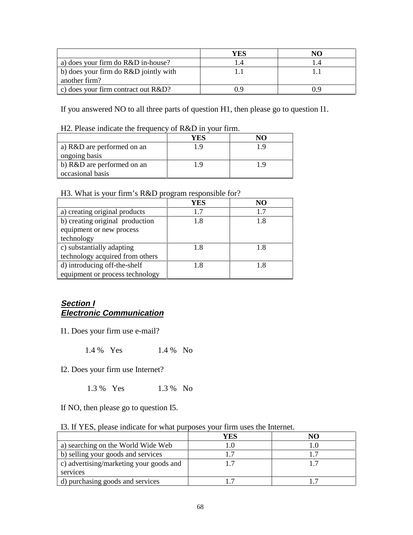|                                        | YES | NO  |
|----------------------------------------|-----|-----|
| a) does your firm do R&D in-house?     |     |     |
| b) does your firm do R&D jointly with  |     |     |
| another firm?                          |     |     |
| c) does your firm contract out $R&D$ ? |     | 0 O |

If you answered NO to all three parts of question H1, then please go to question I1.

H2. Please indicate the frequency of R&D in your firm.

|                            | YES | $\mathbf{N}$ |
|----------------------------|-----|--------------|
| a) R&D are performed on an | 1 Q |              |
| ongoing basis              |     |              |
| b) R&D are performed on an | 1 Q |              |
| occasional basis           |     |              |

H3. What is your firm's R&D program responsible for?

|                                 | YES | NO  |
|---------------------------------|-----|-----|
| a) creating original products   | 1.7 | 1.7 |
| b) creating original production | 1.8 | 1.8 |
| equipment or new process        |     |     |
| technology                      |     |     |
| c) substantially adapting       | 1.8 | 1.8 |
| technology acquired from others |     |     |
| d) introducing off-the-shelf    | 1.8 | 1.8 |
| equipment or process technology |     |     |

### **Section I Electronic Communication**

I1. Does your firm use e-mail?

1.4 % Yes 1.4 % No

I2. Does your firm use Internet?

1.3 % Yes 1.3 % No

If NO, then please go to question I5.

|                                         | YES | NО |
|-----------------------------------------|-----|----|
| a) searching on the World Wide Web      |     |    |
| b) selling your goods and services      |     |    |
| c) advertising/marketing your goods and |     |    |
| services                                |     |    |
| d) purchasing goods and services        |     |    |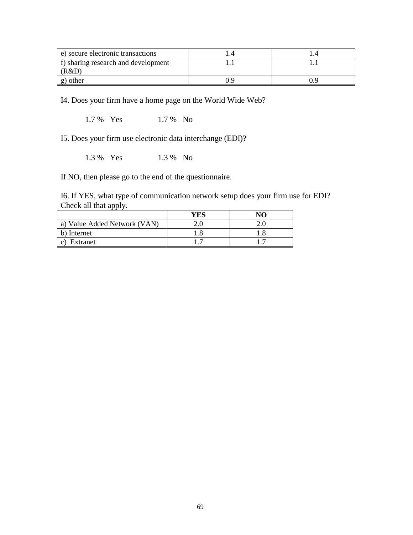| e) secure electronic transactions   |  |
|-------------------------------------|--|
| f) sharing research and development |  |
| (R&D)                               |  |
| g) other                            |  |

I4. Does your firm have a home page on the World Wide Web?

1.7 % Yes 1.7 % No

I5. Does your firm use electronic data interchange (EDI)?

1.3 % Yes 1.3 % No

If NO, then please go to the end of the questionnaire.

I6. If YES, what type of communication network setup does your firm use for EDI? Check all that apply.

|                              | YES | NO. |
|------------------------------|-----|-----|
| a) Value Added Network (VAN) | 2.0 | 2.0 |
| b) Internet                  | 1.8 |     |
| Extranet                     |     |     |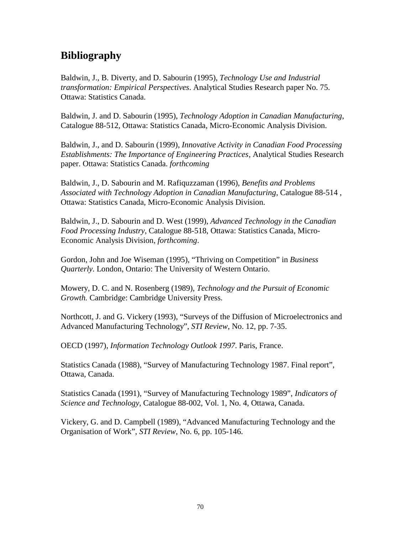# **Bibliography**

Baldwin, J., B. Diverty, and D. Sabourin (1995), *Technology Use and Industrial transformation: Empirical Perspectives*. Analytical Studies Research paper No. 75. Ottawa: Statistics Canada.

Baldwin, J. and D. Sabourin (1995), *Technology Adoption in Canadian Manufacturing*, Catalogue 88-512, Ottawa: Statistics Canada, Micro-Economic Analysis Division.

Baldwin, J., and D. Sabourin (1999), *Innovative Activity in Canadian Food Processing Establishments: The Importance of Engineering Practices*, Analytical Studies Research paper. Ottawa: Statistics Canada. *forthcoming*

Baldwin, J., D. Sabourin and M. Rafiquzzaman (1996), *Benefits and Problems Associated with Technology Adoption in Canadian Manufacturing*, Catalogue 88-514 , Ottawa: Statistics Canada, Micro-Economic Analysis Division.

Baldwin, J., D. Sabourin and D. West (1999), *Advanced Technology in the Canadian Food Processing Industry*, Catalogue 88-518, Ottawa: Statistics Canada, Micro-Economic Analysis Division, *forthcoming*.

Gordon, John and Joe Wiseman (1995), "Thriving on Competition" in *Business Quarterly*. London, Ontario: The University of Western Ontario.

Mowery, D. C. and N. Rosenberg (1989), *Technology and the Pursuit of Economic Growth.* Cambridge: Cambridge University Press.

Northcott, J. and G. Vickery (1993), "Surveys of the Diffusion of Microelectronics and Advanced Manufacturing Technology", *STI Review*, No. 12, pp. 7-35.

OECD (1997), *Information Technology Outlook 1997*. Paris, France.

Statistics Canada (1988), "Survey of Manufacturing Technology 1987. Final report", Ottawa, Canada.

Statistics Canada (1991), "Survey of Manufacturing Technology 1989", *Indicators of Science and Technology*, Catalogue 88-002, Vol. 1, No. 4, Ottawa, Canada.

Vickery, G. and D. Campbell (1989), "Advanced Manufacturing Technology and the Organisation of Work", *STI Review*, No. 6, pp. 105-146.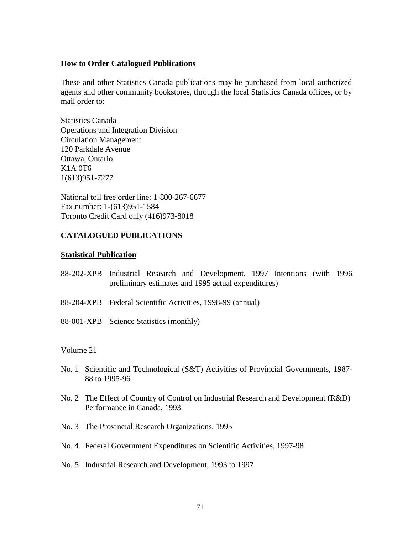#### **How to Order Catalogued Publications**

These and other Statistics Canada publications may be purchased from local authorized agents and other community bookstores, through the local Statistics Canada offices, or by mail order to:

Statistics Canada Operations and Integration Division Circulation Management 120 Parkdale Avenue Ottawa, Ontario K1A 0T6 1(613)951-7277

National toll free order line: 1-800-267-6677 Fax number: 1-(613)951-1584 Toronto Credit Card only (416)973-8018

### **CATALOGUED PUBLICATIONS**

#### **Statistical Publication**

- 88-202-XPB Industrial Research and Development, 1997 Intentions (with 1996 preliminary estimates and 1995 actual expenditures)
- 88-204-XPB Federal Scientific Activities, 1998-99 (annual)
- 88-001-XPB Science Statistics (monthly)

#### Volume 21

- No. 1 Scientific and Technological (S&T) Activities of Provincial Governments, 1987- 88 to 1995-96
- No. 2 The Effect of Country of Control on Industrial Research and Development (R&D) Performance in Canada, 1993
- No. 3 The Provincial Research Organizations, 1995
- No. 4 Federal Government Expenditures on Scientific Activities, 1997-98
- No. 5 Industrial Research and Development, 1993 to 1997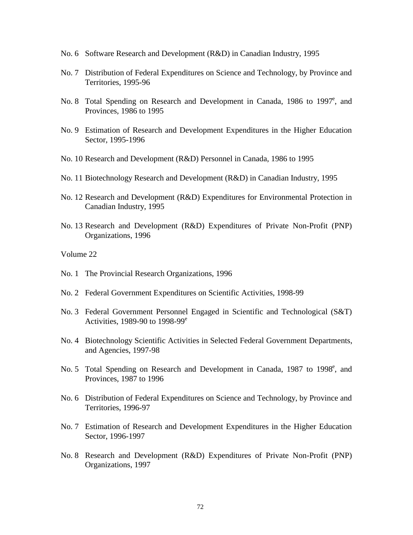- No. 6 Software Research and Development (R&D) in Canadian Industry, 1995
- No. 7 Distribution of Federal Expenditures on Science and Technology, by Province and Territories, 1995-96
- No. 8 Total Spending on Research and Development in Canada, 1986 to 1997<sup>e</sup>, and Provinces, 1986 to 1995
- No. 9 Estimation of Research and Development Expenditures in the Higher Education Sector, 1995-1996
- No. 10 Research and Development (R&D) Personnel in Canada, 1986 to 1995
- No. 11 Biotechnology Research and Development (R&D) in Canadian Industry, 1995
- No. 12 Research and Development (R&D) Expenditures for Environmental Protection in Canadian Industry, 1995
- No. 13 Research and Development (R&D) Expenditures of Private Non-Profit (PNP) Organizations, 1996
- Volume 22
- No. 1 The Provincial Research Organizations, 1996
- No. 2 Federal Government Expenditures on Scientific Activities, 1998-99
- No. 3 Federal Government Personnel Engaged in Scientific and Technological (S&T) Activities, 1989-90 to 1998-99e
- No. 4 Biotechnology Scientific Activities in Selected Federal Government Departments, and Agencies, 1997-98
- No. 5 Total Spending on Research and Development in Canada, 1987 to 1998<sup>e</sup>, and Provinces, 1987 to 1996
- No. 6 Distribution of Federal Expenditures on Science and Technology, by Province and Territories, 1996-97
- No. 7 Estimation of Research and Development Expenditures in the Higher Education Sector, 1996-1997
- No. 8 Research and Development (R&D) Expenditures of Private Non-Profit (PNP) Organizations, 1997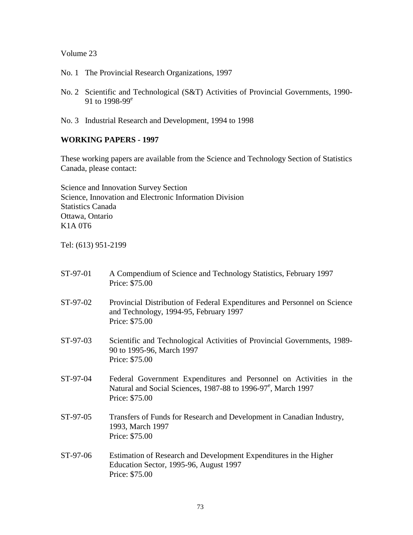### Volume 23

- No. 1 The Provincial Research Organizations, 1997
- No. 2 Scientific and Technological (S&T) Activities of Provincial Governments, 1990- 91 to 1998-99<sup>e</sup>
- No. 3 Industrial Research and Development, 1994 to 1998

### **WORKING PAPERS - 1997**

These working papers are available from the Science and Technology Section of Statistics Canada, please contact:

Science and Innovation Survey Section Science, Innovation and Electronic Information Division Statistics Canada Ottawa, Ontario K1A 0T6

Tel: (613) 951-2199

| ST-97-01 | A Compendium of Science and Technology Statistics, February 1997<br>Price: \$75.00                                                                                |
|----------|-------------------------------------------------------------------------------------------------------------------------------------------------------------------|
| ST-97-02 | Provincial Distribution of Federal Expenditures and Personnel on Science<br>and Technology, 1994-95, February 1997<br>Price: \$75.00                              |
| ST-97-03 | Scientific and Technological Activities of Provincial Governments, 1989-<br>90 to 1995-96, March 1997<br>Price: \$75.00                                           |
| ST-97-04 | Federal Government Expenditures and Personnel on Activities in the<br>Natural and Social Sciences, 1987-88 to 1996-97 <sup>e</sup> , March 1997<br>Price: \$75.00 |
| ST-97-05 | Transfers of Funds for Research and Development in Canadian Industry,<br>1993, March 1997<br>Price: \$75.00                                                       |
| ST-97-06 | Estimation of Research and Development Expenditures in the Higher<br>Education Sector, 1995-96, August 1997<br>Price: \$75.00                                     |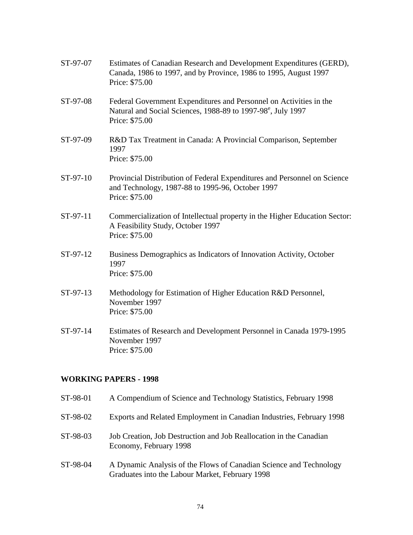| ST-97-07 | Estimates of Canadian Research and Development Expenditures (GERD),<br>Canada, 1986 to 1997, and by Province, 1986 to 1995, August 1997<br>Price: \$75.00 |
|----------|-----------------------------------------------------------------------------------------------------------------------------------------------------------|
| ST-97-08 | Federal Government Expenditures and Personnel on Activities in the<br>Natural and Social Sciences, 1988-89 to 1997-98°, July 1997<br>Price: \$75.00       |
| ST-97-09 | R&D Tax Treatment in Canada: A Provincial Comparison, September<br>1997<br>Price: \$75.00                                                                 |
| ST-97-10 | Provincial Distribution of Federal Expenditures and Personnel on Science<br>and Technology, 1987-88 to 1995-96, October 1997<br>Price: \$75.00            |
| ST-97-11 | Commercialization of Intellectual property in the Higher Education Sector:<br>A Feasibility Study, October 1997<br>Price: \$75.00                         |
| ST-97-12 | Business Demographics as Indicators of Innovation Activity, October<br>1997<br>Price: \$75.00                                                             |
| ST-97-13 | Methodology for Estimation of Higher Education R&D Personnel,<br>November 1997<br>Price: \$75.00                                                          |
| ST-97-14 | Estimates of Research and Development Personnel in Canada 1979-1995<br>November 1997<br>Price: \$75.00                                                    |

## **WORKING PAPERS - 1998**

| ST-98-01 | A Compendium of Science and Technology Statistics, February 1998                                                      |
|----------|-----------------------------------------------------------------------------------------------------------------------|
| ST-98-02 | Exports and Related Employment in Canadian Industries, February 1998                                                  |
| ST-98-03 | Job Creation, Job Destruction and Job Reallocation in the Canadian<br>Economy, February 1998                          |
| ST-98-04 | A Dynamic Analysis of the Flows of Canadian Science and Technology<br>Graduates into the Labour Market, February 1998 |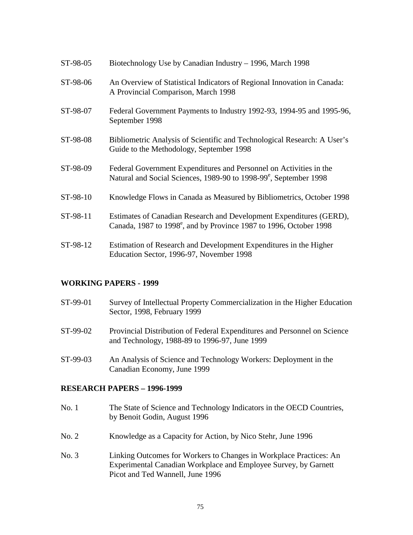| ST-98-05 | Biotechnology Use by Canadian Industry - 1996, March 1998                                                                                             |
|----------|-------------------------------------------------------------------------------------------------------------------------------------------------------|
| ST-98-06 | An Overview of Statistical Indicators of Regional Innovation in Canada:<br>A Provincial Comparison, March 1998                                        |
| ST-98-07 | Federal Government Payments to Industry 1992-93, 1994-95 and 1995-96,<br>September 1998                                                               |
| ST-98-08 | Bibliometric Analysis of Scientific and Technological Research: A User's<br>Guide to the Methodology, September 1998                                  |
| ST-98-09 | Federal Government Expenditures and Personnel on Activities in the<br>Natural and Social Sciences, 1989-90 to 1998-99 <sup>e</sup> , September 1998   |
| ST-98-10 | Knowledge Flows in Canada as Measured by Bibliometrics, October 1998                                                                                  |
| ST-98-11 | Estimates of Canadian Research and Development Expenditures (GERD),<br>Canada, 1987 to 1998 <sup>e</sup> , and by Province 1987 to 1996, October 1998 |
| ST-98-12 | Estimation of Research and Development Expenditures in the Higher<br>Education Sector, 1996-97, November 1998                                         |

#### **WORKING PAPERS - 1999**

| ST-99-01 | Survey of Intellectual Property Commercialization in the Higher Education<br>Sector, 1998, February 1999                  |
|----------|---------------------------------------------------------------------------------------------------------------------------|
| ST-99-02 | Provincial Distribution of Federal Expenditures and Personnel on Science<br>and Technology, 1988-89 to 1996-97, June 1999 |
| ST-99-03 | An Analysis of Science and Technology Workers: Deployment in the<br>Canadian Economy, June 1999                           |

#### **RESEARCH PAPERS – 1996-1999**

| No. 1 | The State of Science and Technology Indicators in the OECD Countries, |
|-------|-----------------------------------------------------------------------|
|       | by Benoit Godin, August 1996                                          |

- No. 2 Knowledge as a Capacity for Action, by Nico Stehr, June 1996
- No. 3 Linking Outcomes for Workers to Changes in Workplace Practices: An Experimental Canadian Workplace and Employee Survey, by Garnett Picot and Ted Wannell, June 1996